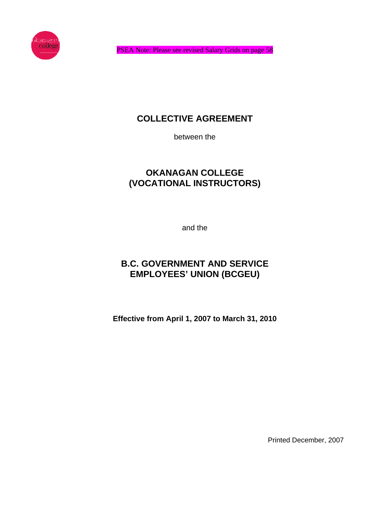

[PSEA Note: Please see revised Salary Grids on page 58](#page-66-0) 

# **COLLECTIVE AGREEMENT**

between the

# **OKANAGAN COLLEGE (VOCATIONAL INSTRUCTORS)**

and the

# **B.C. GOVERNMENT AND SERVICE EMPLOYEES' UNION (BCGEU)**

**Effective from April 1, 2007 to March 31, 2010**

Printed December, 2007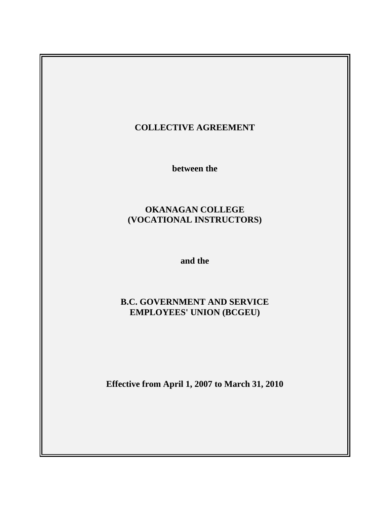# **COLLECTIVE AGREEMENT**

**between the** 

# **OKANAGAN COLLEGE (VOCATIONAL INSTRUCTORS)**

**and the** 

# **B.C. GOVERNMENT AND SERVICE EMPLOYEES' UNION (BCGEU)**

**Effective from April 1, 2007 to March 31, 2010**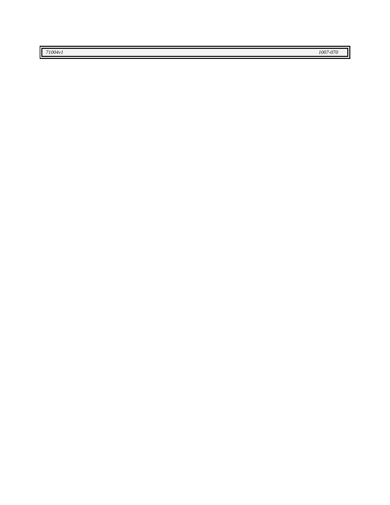*71004v1 1007-070*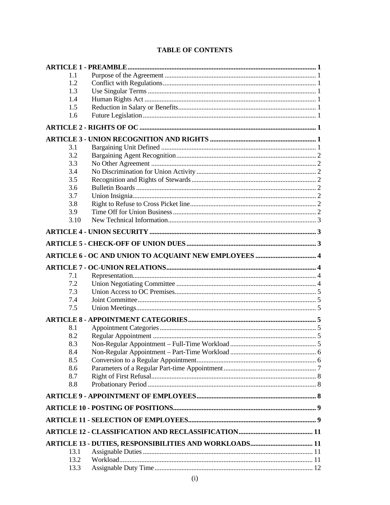| 1.1  |  |
|------|--|
| 1.2  |  |
| 1.3  |  |
| 1.4  |  |
| 1.5  |  |
| 1.6  |  |
|      |  |
|      |  |
| 3.1  |  |
| 3.2  |  |
| 3.3  |  |
| 3.4  |  |
| 3.5  |  |
| 3.6  |  |
| 3.7  |  |
| 3.8  |  |
| 3.9  |  |
| 3.10 |  |
|      |  |
|      |  |
|      |  |
|      |  |
| 7.1  |  |
| 7.2  |  |
| 7.3  |  |
| 7.4  |  |
| 7.5  |  |
|      |  |
| 8.1  |  |
| 8.2  |  |
| 8.3  |  |
| 8.4  |  |
| 8.5  |  |
| 8.6  |  |
| 8.7  |  |
| 8.8  |  |
|      |  |
|      |  |
|      |  |
|      |  |
|      |  |
| 13.1 |  |
| 13.2 |  |
| 13.3 |  |

# **TABLE OF CONTENTS**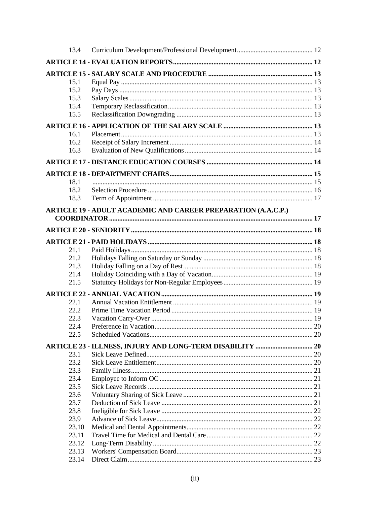| 13.4  |                                                                      |  |
|-------|----------------------------------------------------------------------|--|
|       |                                                                      |  |
|       |                                                                      |  |
| 15.1  |                                                                      |  |
| 15.2  |                                                                      |  |
| 15.3  |                                                                      |  |
| 15.4  |                                                                      |  |
| 15.5  |                                                                      |  |
|       |                                                                      |  |
| 16.1  |                                                                      |  |
| 16.2  |                                                                      |  |
| 16.3  |                                                                      |  |
|       |                                                                      |  |
|       |                                                                      |  |
| 18.1  |                                                                      |  |
| 18.2  |                                                                      |  |
| 18.3  |                                                                      |  |
|       | <b>ARTICLE 19 - ADULT ACADEMIC AND CAREER PREPARATION (A.A.C.P.)</b> |  |
|       |                                                                      |  |
|       |                                                                      |  |
|       |                                                                      |  |
| 21.1  |                                                                      |  |
| 21.2  |                                                                      |  |
| 21.3  |                                                                      |  |
| 21.4  |                                                                      |  |
| 21.5  |                                                                      |  |
|       |                                                                      |  |
| 22.1  |                                                                      |  |
| 22.2  |                                                                      |  |
| 22.3  |                                                                      |  |
| 22.4  |                                                                      |  |
| 22.5  |                                                                      |  |
|       |                                                                      |  |
| 23.1  |                                                                      |  |
| 23.2  |                                                                      |  |
| 23.3  |                                                                      |  |
| 23.4  |                                                                      |  |
| 23.5  |                                                                      |  |
| 23.6  |                                                                      |  |
| 23.7  |                                                                      |  |
| 23.8  |                                                                      |  |
| 23.9  |                                                                      |  |
| 23.10 |                                                                      |  |
| 23.11 |                                                                      |  |
| 23.12 |                                                                      |  |
| 23.13 |                                                                      |  |
| 23.14 |                                                                      |  |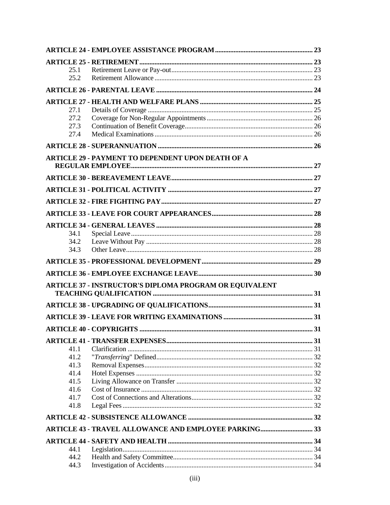| 25.1         |                                                                |  |
|--------------|----------------------------------------------------------------|--|
| 25.2         |                                                                |  |
|              |                                                                |  |
|              |                                                                |  |
| 27.1         |                                                                |  |
| 27.2         |                                                                |  |
| 27.3<br>27.4 |                                                                |  |
|              |                                                                |  |
|              | <b>ARTICLE 29 - PAYMENT TO DEPENDENT UPON DEATH OF A</b>       |  |
|              |                                                                |  |
|              |                                                                |  |
|              |                                                                |  |
|              |                                                                |  |
|              |                                                                |  |
|              |                                                                |  |
| 34.1         |                                                                |  |
| 34.2<br>34.3 |                                                                |  |
|              |                                                                |  |
|              |                                                                |  |
|              |                                                                |  |
|              | <b>ARTICLE 37 - INSTRUCTOR'S DIPLOMA PROGRAM OR EQUIVALENT</b> |  |
|              |                                                                |  |
|              |                                                                |  |
|              |                                                                |  |
|              |                                                                |  |
| 41.1         |                                                                |  |
| 41.2         |                                                                |  |
| 41.3         |                                                                |  |
| 41.4<br>41.5 |                                                                |  |
| 41.6         |                                                                |  |
| 41.7         |                                                                |  |
| 41.8         |                                                                |  |
|              |                                                                |  |
|              |                                                                |  |
|              |                                                                |  |
| 44.1         |                                                                |  |
| 44.2<br>44.3 |                                                                |  |
|              |                                                                |  |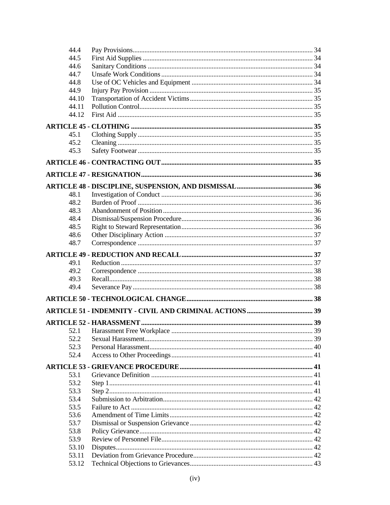| 44.4           |  |
|----------------|--|
| 44.5           |  |
| 44.6           |  |
| 44.7           |  |
| 44.8           |  |
| 44.9           |  |
| 44.10          |  |
| 44.11          |  |
| 44.12          |  |
|                |  |
| 45.1           |  |
| 45.2           |  |
| 45.3           |  |
|                |  |
|                |  |
|                |  |
|                |  |
| 48.1           |  |
| 48.2           |  |
| 48.3           |  |
| 48.4           |  |
| 48.5           |  |
| 48.6           |  |
| 48.7           |  |
|                |  |
| 49.1           |  |
| 49.2           |  |
| 49.3           |  |
| 49.4           |  |
|                |  |
|                |  |
|                |  |
|                |  |
| 52.2           |  |
| 52.3           |  |
| 52.4           |  |
|                |  |
| 53.1           |  |
| 53.2           |  |
| 53.3           |  |
|                |  |
|                |  |
| 53.4           |  |
| 53.5           |  |
| 53.6           |  |
| 53.7           |  |
| 53.8           |  |
| 53.9           |  |
| 53.10          |  |
| 53.11<br>53.12 |  |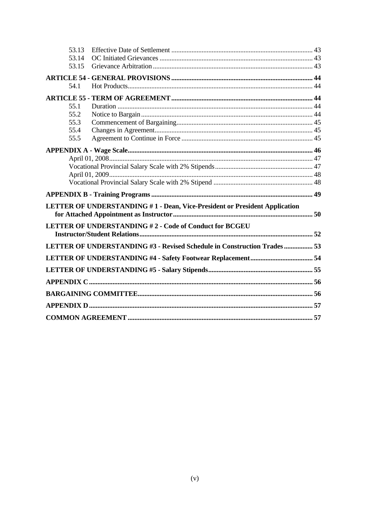| 53.13 |                                                                            |  |
|-------|----------------------------------------------------------------------------|--|
| 53.14 |                                                                            |  |
| 53.15 |                                                                            |  |
|       |                                                                            |  |
| 54.1  |                                                                            |  |
|       |                                                                            |  |
| 55.1  |                                                                            |  |
| 55.2  |                                                                            |  |
| 55.3  |                                                                            |  |
| 55.4  |                                                                            |  |
| 55.5  |                                                                            |  |
|       |                                                                            |  |
|       |                                                                            |  |
|       |                                                                            |  |
|       |                                                                            |  |
|       |                                                                            |  |
|       |                                                                            |  |
|       | LETTER OF UNDERSTANDING #1 - Dean, Vice-President or President Application |  |
|       |                                                                            |  |
|       | <b>LETTER OF UNDERSTANDING #2 - Code of Conduct for BCGEU</b>              |  |
|       |                                                                            |  |
|       | LETTER OF UNDERSTANDING #3 - Revised Schedule in Construction Trades  53   |  |
|       |                                                                            |  |
|       |                                                                            |  |
|       |                                                                            |  |
|       |                                                                            |  |
|       |                                                                            |  |
|       |                                                                            |  |
|       |                                                                            |  |
|       |                                                                            |  |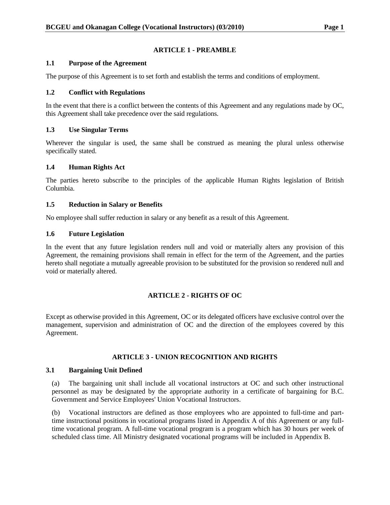# **1.1 Purpose of the Agreement**

The purpose of this Agreement is to set forth and establish the terms and conditions of employment.

# **1.2 Conflict with Regulations**

In the event that there is a conflict between the contents of this Agreement and any regulations made by OC, this Agreement shall take precedence over the said regulations.

# **1.3 Use Singular Terms**

Wherever the singular is used, the same shall be construed as meaning the plural unless otherwise specifically stated.

# **1.4 Human Rights Act**

The parties hereto subscribe to the principles of the applicable Human Rights legislation of British Columbia.

# **1.5 Reduction in Salary or Benefits**

No employee shall suffer reduction in salary or any benefit as a result of this Agreement.

# **1.6 Future Legislation**

In the event that any future legislation renders null and void or materially alters any provision of this Agreement, the remaining provisions shall remain in effect for the term of the Agreement, and the parties hereto shall negotiate a mutually agreeable provision to be substituted for the provision so rendered null and void or materially altered.

# **ARTICLE 2 - RIGHTS OF OC**

Except as otherwise provided in this Agreement, OC or its delegated officers have exclusive control over the management, supervision and administration of OC and the direction of the employees covered by this Agreement.

# **ARTICLE 3 - UNION RECOGNITION AND RIGHTS**

# **3.1 Bargaining Unit Defined**

(a) The bargaining unit shall include all vocational instructors at OC and such other instructional personnel as may be designated by the appropriate authority in a certificate of bargaining for B.C. Government and Service Employees' Union Vocational Instructors.

(b) Vocational instructors are defined as those employees who are appointed to full-time and parttime instructional positions in vocational programs listed in Appendix A of this Agreement or any fulltime vocational program. A full-time vocational program is a program which has 30 hours per week of scheduled class time. All Ministry designated vocational programs will be included in Appendix B.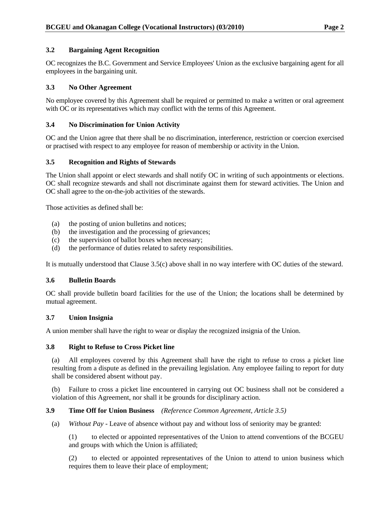# **3.2 Bargaining Agent Recognition**

OC recognizes the B.C. Government and Service Employees' Union as the exclusive bargaining agent for all employees in the bargaining unit.

# **3.3 No Other Agreement**

No employee covered by this Agreement shall be required or permitted to make a written or oral agreement with OC or its representatives which may conflict with the terms of this Agreement.

# **3.4 No Discrimination for Union Activity**

OC and the Union agree that there shall be no discrimination, interference, restriction or coercion exercised or practised with respect to any employee for reason of membership or activity in the Union.

# **3.5 Recognition and Rights of Stewards**

The Union shall appoint or elect stewards and shall notify OC in writing of such appointments or elections. OC shall recognize stewards and shall not discriminate against them for steward activities. The Union and OC shall agree to the on-the-job activities of the stewards.

Those activities as defined shall be:

- (a) the posting of union bulletins and notices;
- (b) the investigation and the processing of grievances;
- (c) the supervision of ballot boxes when necessary;
- (d) the performance of duties related to safety responsibilities.

It is mutually understood that Clause 3.5(c) above shall in no way interfere with OC duties of the steward.

# **3.6 Bulletin Boards**

OC shall provide bulletin board facilities for the use of the Union; the locations shall be determined by mutual agreement.

# **3.7 Union Insignia**

A union member shall have the right to wear or display the recognized insignia of the Union.

# **3.8 Right to Refuse to Cross Picket line**

(a) All employees covered by this Agreement shall have the right to refuse to cross a picket line resulting from a dispute as defined in the prevailing legislation. Any employee failing to report for duty shall be considered absent without pay.

(b) Failure to cross a picket line encountered in carrying out OC business shall not be considered a violation of this Agreement, nor shall it be grounds for disciplinary action.

# **3.9 Time Off for Union Business** *(Reference Common Agreement, Article 3.5)*

(a) *Without Pay* - Leave of absence without pay and without loss of seniority may be granted:

(1) to elected or appointed representatives of the Union to attend conventions of the BCGEU and groups with which the Union is affiliated;

(2) to elected or appointed representatives of the Union to attend to union business which requires them to leave their place of employment;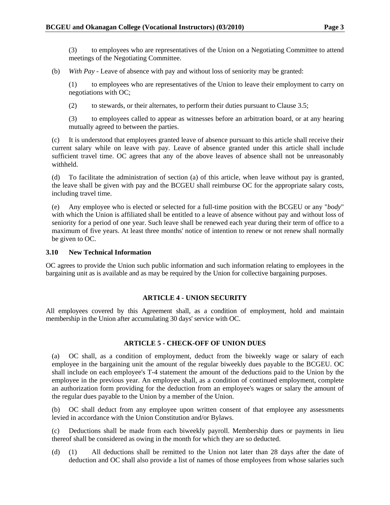(3) to employees who are representatives of the Union on a Negotiating Committee to attend meetings of the Negotiating Committee.

(b) *With Pay* - Leave of absence with pay and without loss of seniority may be granted:

(1) to employees who are representatives of the Union to leave their employment to carry on negotiations with OC;

(2) to stewards, or their alternates, to perform their duties pursuant to Clause 3.5;

(3) to employees called to appear as witnesses before an arbitration board, or at any hearing mutually agreed to between the parties.

(c) It is understood that employees granted leave of absence pursuant to this article shall receive their current salary while on leave with pay. Leave of absence granted under this article shall include sufficient travel time. OC agrees that any of the above leaves of absence shall not be unreasonably withheld.

(d) To facilitate the administration of section (a) of this article, when leave without pay is granted, the leave shall be given with pay and the BCGEU shall reimburse OC for the appropriate salary costs, including travel time.

(e) Any employee who is elected or selected for a full-time position with the BCGEU or any "*body*" with which the Union is affiliated shall be entitled to a leave of absence without pay and without loss of seniority for a period of one year. Such leave shall be renewed each year during their term of office to a maximum of five years. At least three months' notice of intention to renew or not renew shall normally be given to OC.

# **3.10 New Technical Information**

OC agrees to provide the Union such public information and such information relating to employees in the bargaining unit as is available and as may be required by the Union for collective bargaining purposes.

# **ARTICLE 4 - UNION SECURITY**

All employees covered by this Agreement shall, as a condition of employment, hold and maintain membership in the Union after accumulating 30 days' service with OC.

# **ARTICLE 5 - CHECK-OFF OF UNION DUES**

(a) OC shall, as a condition of employment, deduct from the biweekly wage or salary of each employee in the bargaining unit the amount of the regular biweekly dues payable to the BCGEU. OC shall include on each employee's T-4 statement the amount of the deductions paid to the Union by the employee in the previous year. An employee shall, as a condition of continued employment, complete an authorization form providing for the deduction from an employee's wages or salary the amount of the regular dues payable to the Union by a member of the Union.

(b) OC shall deduct from any employee upon written consent of that employee any assessments levied in accordance with the Union Constitution and/or Bylaws.

(c) Deductions shall be made from each biweekly payroll. Membership dues or payments in lieu thereof shall be considered as owing in the month for which they are so deducted.

(d) (1) All deductions shall be remitted to the Union not later than 28 days after the date of deduction and OC shall also provide a list of names of those employees from whose salaries such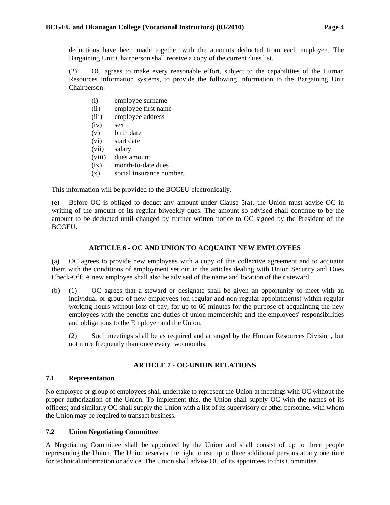deductions have been made together with the amounts deducted from each employee. The Bargaining Unit Chairperson shall receive a copy of the current dues list.

(2) OC agrees to make every reasonable effort, subject to the capabilities of the Human Resources information systems, to provide the following information to the Bargaining Unit Chairperson:

- (i) employee surname
- (ii) employee first name
- (iii) employee address
- (iv) sex
- (v) birth date
- (vi) start date
- (vii) salary
- (viii) dues amount
- (ix) month-to-date dues
- (x) social insurance number.

This information will be provided to the BCGEU electronically.

(e) Before OC is obliged to deduct any amount under Clause 5(a), the Union must advise OC in writing of the amount of its regular biweekly dues. The amount so advised shall continue to be the amount to be deducted until changed by further written notice to OC signed by the President of the BCGEU.

# **ARTICLE 6 - OC AND UNION TO ACQUAINT NEW EMPLOYEES**

(a) OC agrees to provide new employees with a copy of this collective agreement and to acquaint them with the conditions of employment set out in the articles dealing with Union Security and Dues Check-Off. A new employee shall also be advised of the name and location of their steward.

(b) (1) OC agrees that a steward or designate shall be given an opportunity to meet with an individual or group of new employees (on regular and non-regular appointments) within regular working hours without loss of pay, for up to 60 minutes for the purpose of acquainting the new employees with the benefits and duties of union membership and the employees' responsibilities and obligations to the Employer and the Union.

(2) Such meetings shall be as required and arranged by the Human Resources Division, but not more frequently than once every two months.

# **ARTICLE 7 - OC-UNION RELATIONS**

# **7.1 Representation**

No employee or group of employees shall undertake to represent the Union at meetings with OC without the proper authorization of the Union. To implement this, the Union shall supply OC with the names of its officers; and similarly OC shall supply the Union with a list of its supervisory or other personnel with whom the Union may be required to transact business.

# **7.2 Union Negotiating Committee**

A Negotiating Committee shall be appointed by the Union and shall consist of up to three people representing the Union. The Union reserves the right to use up to three additional persons at any one time for technical information or advice. The Union shall advise OC of its appointees to this Committee.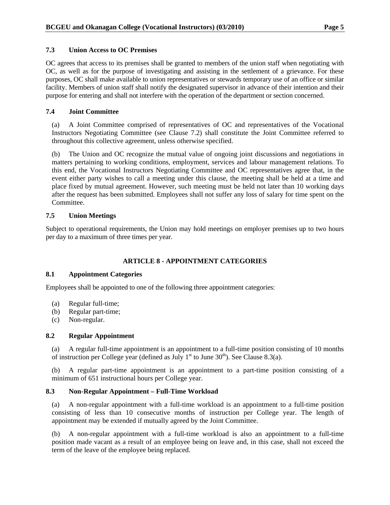# **7.3 Union Access to OC Premises**

OC agrees that access to its premises shall be granted to members of the union staff when negotiating with OC, as well as for the purpose of investigating and assisting in the settlement of a grievance. For these purposes, OC shall make available to union representatives or stewards temporary use of an office or similar facility. Members of union staff shall notify the designated supervisor in advance of their intention and their purpose for entering and shall not interfere with the operation of the department or section concerned.

# **7.4 Joint Committee**

(a) A Joint Committee comprised of representatives of OC and representatives of the Vocational Instructors Negotiating Committee (see Clause 7.2) shall constitute the Joint Committee referred to throughout this collective agreement, unless otherwise specified.

(b) The Union and OC recognize the mutual value of ongoing joint discussions and negotiations in matters pertaining to working conditions, employment, services and labour management relations. To this end, the Vocational Instructors Negotiating Committee and OC representatives agree that, in the event either party wishes to call a meeting under this clause, the meeting shall be held at a time and place fixed by mutual agreement. However, such meeting must be held not later than 10 working days after the request has been submitted. Employees shall not suffer any loss of salary for time spent on the Committee.

# **7.5 Union Meetings**

Subject to operational requirements, the Union may hold meetings on employer premises up to two hours per day to a maximum of three times per year.

# **ARTICLE 8 - APPOINTMENT CATEGORIES**

# **8.1 Appointment Categories**

Employees shall be appointed to one of the following three appointment categories:

- (a) Regular full-time;
- (b) Regular part-time;
- (c) Non-regular.

# **8.2 Regular Appointment**

(a) A regular full-time appointment is an appointment to a full-time position consisting of 10 months of instruction per College year (defined as July  $1<sup>st</sup>$  to June 30<sup>th</sup>). See Clause 8.3(a).

(b) A regular part-time appointment is an appointment to a part-time position consisting of a minimum of 651 instructional hours per College year.

# **8.3 Non-Regular Appointment – Full-Time Workload**

(a) A non-regular appointment with a full-time workload is an appointment to a full-time position consisting of less than 10 consecutive months of instruction per College year. The length of appointment may be extended if mutually agreed by the Joint Committee.

(b) A non-regular appointment with a full-time workload is also an appointment to a full-time position made vacant as a result of an employee being on leave and, in this case, shall not exceed the term of the leave of the employee being replaced.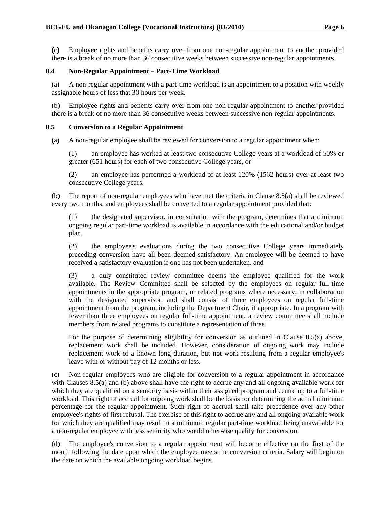(c) Employee rights and benefits carry over from one non-regular appointment to another provided there is a break of no more than 36 consecutive weeks between successive non-regular appointments.

#### **8.4 Non-Regular Appointment – Part-Time Workload**

(a) A non-regular appointment with a part-time workload is an appointment to a position with weekly assignable hours of less that 30 hours per week.

(b) Employee rights and benefits carry over from one non-regular appointment to another provided there is a break of no more than 36 consecutive weeks between successive non-regular appointments.

#### **8.5 Conversion to a Regular Appointment**

(a) A non-regular employee shall be reviewed for conversion to a regular appointment when:

(1) an employee has worked at least two consecutive College years at a workload of 50% or greater (651 hours) for each of two consecutive College years, or

(2) an employee has performed a workload of at least 120% (1562 hours) over at least two consecutive College years.

(b) The report of non-regular employees who have met the criteria in Clause 8.5(a) shall be reviewed every two months, and employees shall be converted to a regular appointment provided that:

(1) the designated supervisor, in consultation with the program, determines that a minimum ongoing regular part-time workload is available in accordance with the educational and/or budget plan,

(2) the employee's evaluations during the two consecutive College years immediately preceding conversion have all been deemed satisfactory. An employee will be deemed to have received a satisfactory evaluation if one has not been undertaken, and

(3) a duly constituted review committee deems the employee qualified for the work available. The Review Committee shall be selected by the employees on regular full-time appointments in the appropriate program, or related programs where necessary, in collaboration with the designated supervisor, and shall consist of three employees on regular full-time appointment from the program, including the Department Chair, if appropriate. In a program with fewer than three employees on regular full-time appointment, a review committee shall include members from related programs to constitute a representation of three.

For the purpose of determining eligibility for conversion as outlined in Clause 8.5(a) above, replacement work shall be included. However, consideration of ongoing work may include replacement work of a known long duration, but not work resulting from a regular employee's leave with or without pay of 12 months or less.

(c) Non-regular employees who are eligible for conversion to a regular appointment in accordance with Clauses 8.5(a) and (b) above shall have the right to accrue any and all ongoing available work for which they are qualified on a seniority basis within their assigned program and centre up to a full-time workload. This right of accrual for ongoing work shall be the basis for determining the actual minimum percentage for the regular appointment. Such right of accrual shall take precedence over any other employee's rights of first refusal. The exercise of this right to accrue any and all ongoing available work for which they are qualified may result in a minimum regular part-time workload being unavailable for a non-regular employee with less seniority who would otherwise qualify for conversion.

(d) The employee's conversion to a regular appointment will become effective on the first of the month following the date upon which the employee meets the conversion criteria. Salary will begin on the date on which the available ongoing workload begins.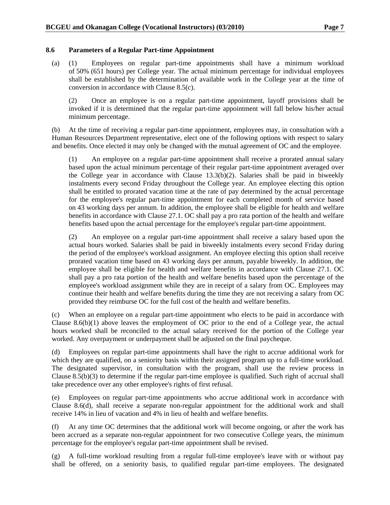#### **8.6 Parameters of a Regular Part-time Appointment**

(a) (1) Employees on regular part-time appointments shall have a minimum workload of 50% (651 hours) per College year. The actual minimum percentage for individual employees shall be established by the determination of available work in the College year at the time of conversion in accordance with Clause 8.5(c).

(2) Once an employee is on a regular part-time appointment, layoff provisions shall be invoked if it is determined that the regular part-time appointment will fall below his/her actual minimum percentage.

(b) At the time of receiving a regular part-time appointment, employees may, in consultation with a Human Resources Department representative, elect one of the following options with respect to salary and benefits. Once elected it may only be changed with the mutual agreement of OC and the employee.

(1) An employee on a regular part-time appointment shall receive a prorated annual salary based upon the actual minimum percentage of their regular part-time appointment averaged over the College year in accordance with Clause 13.3(b)(2). Salaries shall be paid in biweekly instalments every second Friday throughout the College year. An employee electing this option shall be entitled to prorated vacation time at the rate of pay determined by the actual percentage for the employee's regular part-time appointment for each completed month of service based on 43 working days per annum. In addition, the employee shall be eligible for health and welfare benefits in accordance with Clause 27.1. OC shall pay a pro rata portion of the health and welfare benefits based upon the actual percentage for the employee's regular part-time appointment.

(2) An employee on a regular part-time appointment shall receive a salary based upon the actual hours worked. Salaries shall be paid in biweekly instalments every second Friday during the period of the employee's workload assignment. An employee electing this option shall receive prorated vacation time based on 43 working days per annum, payable biweekly. In addition, the employee shall be eligible for health and welfare benefits in accordance with Clause 27.1. OC shall pay a pro rata portion of the health and welfare benefits based upon the percentage of the employee's workload assignment while they are in receipt of a salary from OC. Employees may continue their health and welfare benefits during the time they are not receiving a salary from OC provided they reimburse OC for the full cost of the health and welfare benefits.

(c) When an employee on a regular part-time appointment who elects to be paid in accordance with Clause 8.6(b)(1) above leaves the employment of OC prior to the end of a College year, the actual hours worked shall be reconciled to the actual salary received for the portion of the College year worked. Any overpayment or underpayment shall be adjusted on the final paycheque.

(d) Employees on regular part-time appointments shall have the right to accrue additional work for which they are qualified, on a seniority basis within their assigned program up to a full-time workload. The designated supervisor, in consultation with the program, shall use the review process in Clause 8.5(b)(3) to determine if the regular part-time employee is qualified. Such right of accrual shall take precedence over any other employee's rights of first refusal.

(e) Employees on regular part-time appointments who accrue additional work in accordance with Clause 8.6(d), shall receive a separate non-regular appointment for the additional work and shall receive 14% in lieu of vacation and 4% in lieu of health and welfare benefits.

(f) At any time OC determines that the additional work will become ongoing, or after the work has been accrued as a separate non-regular appointment for two consecutive College years, the minimum percentage for the employee's regular part-time appointment shall be revised.

(g) A full-time workload resulting from a regular full-time employee's leave with or without pay shall be offered, on a seniority basis, to qualified regular part-time employees. The designated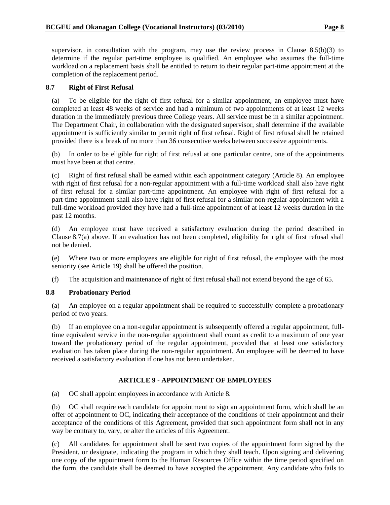supervisor, in consultation with the program, may use the review process in Clause  $8.5(b)(3)$  to determine if the regular part-time employee is qualified. An employee who assumes the full-time workload on a replacement basis shall be entitled to return to their regular part-time appointment at the completion of the replacement period.

# **8.7 Right of First Refusal**

(a) To be eligible for the right of first refusal for a similar appointment, an employee must have completed at least 48 weeks of service and had a minimum of two appointments of at least 12 weeks duration in the immediately previous three College years. All service must be in a similar appointment. The Department Chair, in collaboration with the designated supervisor, shall determine if the available appointment is sufficiently similar to permit right of first refusal. Right of first refusal shall be retained provided there is a break of no more than 36 consecutive weeks between successive appointments.

(b) In order to be eligible for right of first refusal at one particular centre, one of the appointments must have been at that centre.

(c) Right of first refusal shall be earned within each appointment category (Article 8). An employee with right of first refusal for a non-regular appointment with a full-time workload shall also have right of first refusal for a similar part-time appointment. An employee with right of first refusal for a part-time appointment shall also have right of first refusal for a similar non-regular appointment with a full-time workload provided they have had a full-time appointment of at least 12 weeks duration in the past 12 months.

(d) An employee must have received a satisfactory evaluation during the period described in Clause 8.7(a) above. If an evaluation has not been completed, eligibility for right of first refusal shall not be denied.

(e) Where two or more employees are eligible for right of first refusal, the employee with the most seniority (see Article 19) shall be offered the position.

(f) The acquisition and maintenance of right of first refusal shall not extend beyond the age of 65.

# **8.8 Probationary Period**

(a) An employee on a regular appointment shall be required to successfully complete a probationary period of two years.

(b) If an employee on a non-regular appointment is subsequently offered a regular appointment, fulltime equivalent service in the non-regular appointment shall count as credit to a maximum of one year toward the probationary period of the regular appointment, provided that at least one satisfactory evaluation has taken place during the non-regular appointment. An employee will be deemed to have received a satisfactory evaluation if one has not been undertaken.

# **ARTICLE 9 - APPOINTMENT OF EMPLOYEES**

(a) OC shall appoint employees in accordance with Article 8.

(b) OC shall require each candidate for appointment to sign an appointment form, which shall be an offer of appointment to OC, indicating their acceptance of the conditions of their appointment and their acceptance of the conditions of this Agreement, provided that such appointment form shall not in any way be contrary to, vary, or alter the articles of this Agreement.

(c) All candidates for appointment shall be sent two copies of the appointment form signed by the President, or designate, indicating the program in which they shall teach. Upon signing and delivering one copy of the appointment form to the Human Resources Office within the time period specified on the form, the candidate shall be deemed to have accepted the appointment. Any candidate who fails to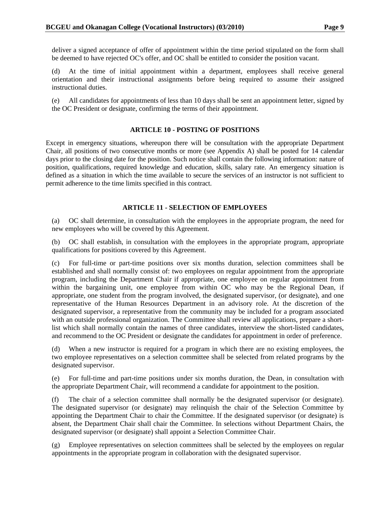deliver a signed acceptance of offer of appointment within the time period stipulated on the form shall be deemed to have rejected OC's offer, and OC shall be entitled to consider the position vacant.

(d) At the time of initial appointment within a department, employees shall receive general orientation and their instructional assignments before being required to assume their assigned instructional duties.

(e) All candidates for appointments of less than 10 days shall be sent an appointment letter, signed by the OC President or designate, confirming the terms of their appointment.

#### **ARTICLE 10 - POSTING OF POSITIONS**

Except in emergency situations, whereupon there will be consultation with the appropriate Department Chair, all positions of two consecutive months or more (see Appendix A) shall be posted for 14 calendar days prior to the closing date for the position. Such notice shall contain the following information: nature of position, qualifications, required knowledge and education, skills, salary rate. An emergency situation is defined as a situation in which the time available to secure the services of an instructor is not sufficient to permit adherence to the time limits specified in this contract.

# **ARTICLE 11 - SELECTION OF EMPLOYEES**

(a) OC shall determine, in consultation with the employees in the appropriate program, the need for new employees who will be covered by this Agreement.

(b) OC shall establish, in consultation with the employees in the appropriate program, appropriate qualifications for positions covered by this Agreement.

(c) For full-time or part-time positions over six months duration, selection committees shall be established and shall normally consist of: two employees on regular appointment from the appropriate program, including the Department Chair if appropriate, one employee on regular appointment from within the bargaining unit, one employee from within OC who may be the Regional Dean, if appropriate, one student from the program involved, the designated supervisor, (or designate), and one representative of the Human Resources Department in an advisory role. At the discretion of the designated supervisor, a representative from the community may be included for a program associated with an outside professional organization. The Committee shall review all applications, prepare a shortlist which shall normally contain the names of three candidates, interview the short-listed candidates, and recommend to the OC President or designate the candidates for appointment in order of preference.

(d) When a new instructor is required for a program in which there are no existing employees, the two employee representatives on a selection committee shall be selected from related programs by the designated supervisor.

(e) For full-time and part-time positions under six months duration, the Dean, in consultation with the appropriate Department Chair, will recommend a candidate for appointment to the position.

(f) The chair of a selection committee shall normally be the designated supervisor (or designate). The designated supervisor (or designate) may relinquish the chair of the Selection Committee by appointing the Department Chair to chair the Committee. If the designated supervisor (or designate) is absent, the Department Chair shall chair the Committee. In selections without Department Chairs, the designated supervisor (or designate) shall appoint a Selection Committee Chair.

(g) Employee representatives on selection committees shall be selected by the employees on regular appointments in the appropriate program in collaboration with the designated supervisor.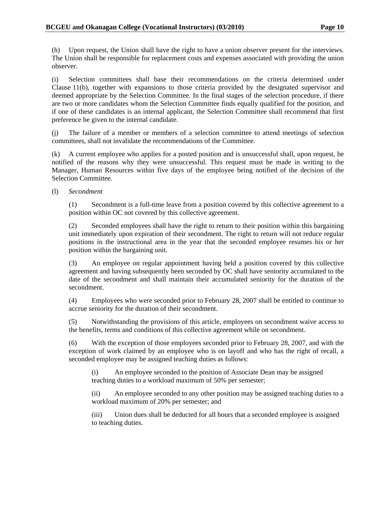(h) Upon request, the Union shall have the right to have a union observer present for the interviews. The Union shall be responsible for replacement costs and expenses associated with providing the union observer.

(i) Selection committees shall base their recommendations on the criteria determined under Clause 11(b), together with expansions to those criteria provided by the designated supervisor and deemed appropriate by the Selection Committee. In the final stages of the selection procedure, if there are two or more candidates whom the Selection Committee finds equally qualified for the position, and if one of these candidates is an internal applicant, the Selection Committee shall recommend that first preference be given to the internal candidate.

(j) The failure of a member or members of a selection committee to attend meetings of selection committees, shall not invalidate the recommendations of the Committee.

(k) A current employee who applies for a posted position and is unsuccessful shall, upon request, be notified of the reasons why they were unsuccessful. This request must be made in writing to the Manager, Human Resources within five days of the employee being notified of the decision of the Selection Committee.

(l) *Secondment* 

(1) Secondment is a full-time leave from a position covered by this collective agreement to a position within OC not covered by this collective agreement.

(2) Seconded employees shall have the right to return to their position within this bargaining unit immediately upon expiration of their secondment. The right to return will not reduce regular positions in the instructional area in the year that the seconded employee resumes his or her position within the bargaining unit.

(3) An employee on regular appointment having held a position covered by this collective agreement and having subsequently been seconded by OC shall have seniority accumulated to the date of the secondment and shall maintain their accumulated seniority for the duration of the secondment.

(4) Employees who were seconded prior to February 28, 2007 shall be entitled to continue to accrue seniority for the duration of their secondment.

(5) Notwithstanding the provisions of this article, employees on secondment waive access to the benefits, terms and conditions of this collective agreement while on secondment.

(6) With the exception of those employees seconded prior to February 28, 2007, and with the exception of work claimed by an employee who is on layoff and who has the right of recall, a seconded employee may be assigned teaching duties as follows:

(i) An employee seconded to the position of Associate Dean may be assigned teaching duties to a workload maximum of 50% per semester;

(ii) An employee seconded to any other position may be assigned teaching duties to a workload maximum of 20% per semester; and

(iii) Union dues shall be deducted for all hours that a seconded employee is assigned to teaching duties.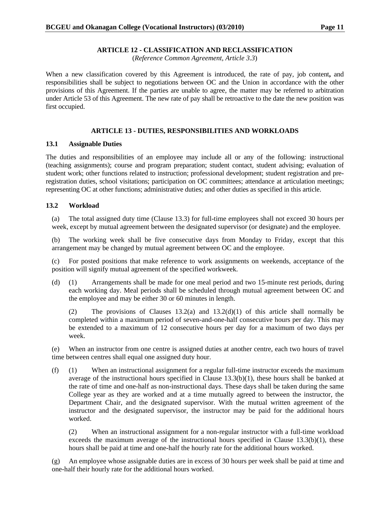# **ARTICLE 12 - CLASSIFICATION AND RECLASSIFICATION**

(*Reference Common Agreement, Article 3.3*)

When a new classification covered by this Agreement is introduced, the rate of pay, job content**,** and responsibilities shall be subject to negotiations between OC and the Union in accordance with the other provisions of this Agreement. If the parties are unable to agree, the matter may be referred to arbitration under Article 53 of this Agreement. The new rate of pay shall be retroactive to the date the new position was first occupied.

# **ARTICLE 13 - DUTIES, RESPONSIBILITIES AND WORKLOADS**

# **13.1 Assignable Duties**

The duties and responsibilities of an employee may include all or any of the following: instructional (teaching assignments); course and program preparation; student contact, student advising; evaluation of student work; other functions related to instruction; professional development; student registration and preregistration duties, school visitations; participation on OC committees; attendance at articulation meetings; representing OC at other functions; administrative duties; and other duties as specified in this article.

# **13.2 Workload**

(a) The total assigned duty time (Clause 13.3) for full-time employees shall not exceed 30 hours per week, except by mutual agreement between the designated supervisor (or designate) and the employee.

(b) The working week shall be five consecutive days from Monday to Friday, except that this arrangement may be changed by mutual agreement between OC and the employee.

(c) For posted positions that make reference to work assignments on weekends, acceptance of the position will signify mutual agreement of the specified workweek.

(d) (1) Arrangements shall be made for one meal period and two 15-minute rest periods, during each working day. Meal periods shall be scheduled through mutual agreement between OC and the employee and may be either 30 or 60 minutes in length.

(2) The provisions of Clauses 13.2(a) and 13.2(d)(1) of this article shall normally be completed within a maximum period of seven-and-one-half consecutive hours per day. This may be extended to a maximum of 12 consecutive hours per day for a maximum of two days per week.

(e) When an instructor from one centre is assigned duties at another centre, each two hours of travel time between centres shall equal one assigned duty hour.

(f) (1) When an instructional assignment for a regular full-time instructor exceeds the maximum average of the instructional hours specified in Clause 13.3(b)(1), these hours shall be banked at the rate of time and one-half as non-instructional days. These days shall be taken during the same College year as they are worked and at a time mutually agreed to between the instructor, the Department Chair, and the designated supervisor. With the mutual written agreement of the instructor and the designated supervisor, the instructor may be paid for the additional hours worked.

(2) When an instructional assignment for a non-regular instructor with a full-time workload exceeds the maximum average of the instructional hours specified in Clause  $13.3(b)(1)$ , these hours shall be paid at time and one-half the hourly rate for the additional hours worked.

(g) An employee whose assignable duties are in excess of 30 hours per week shall be paid at time and one-half their hourly rate for the additional hours worked.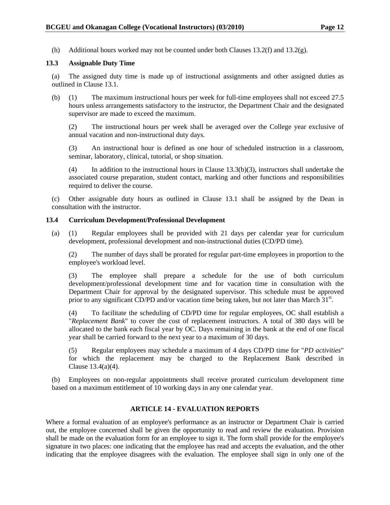(h) Additional hours worked may not be counted under both Clauses  $13.2(f)$  and  $13.2(g)$ .

# **13.3 Assignable Duty Time**

(a) The assigned duty time is made up of instructional assignments and other assigned duties as outlined in Clause 13.1.

(b) (1) The maximum instructional hours per week for full-time employees shall not exceed 27.5 hours unless arrangements satisfactory to the instructor, the Department Chair and the designated supervisor are made to exceed the maximum.

(2) The instructional hours per week shall be averaged over the College year exclusive of annual vacation and non-instructional duty days.

(3) An instructional hour is defined as one hour of scheduled instruction in a classroom, seminar, laboratory, clinical, tutorial, or shop situation.

(4) In addition to the instructional hours in Clause  $13.3(b)(3)$ , instructors shall undertake the associated course preparation, student contact, marking and other functions and responsibilities required to deliver the course.

(c) Other assignable duty hours as outlined in Clause 13.1 shall be assigned by the Dean in consultation with the instructor.

# **13.4 Curriculum Development/Professional Development**

(a) (1) Regular employees shall be provided with 21 days per calendar year for curriculum development, professional development and non-instructional duties (CD/PD time).

(2) The number of days shall be prorated for regular part-time employees in proportion to the employee's workload level.

(3) The employee shall prepare a schedule for the use of both curriculum development/professional development time and for vacation time in consultation with the Department Chair for approval by the designated supervisor. This schedule must be approved prior to any significant CD/PD and/or vacation time being taken, but not later than March 31<sup>st</sup>.

(4) To facilitate the scheduling of CD/PD time for regular employees, OC shall establish a "*Replacement Bank*" to cover the cost of replacement instructors. A total of 380 days will be allocated to the bank each fiscal year by OC. Days remaining in the bank at the end of one fiscal year shall be carried forward to the next year to a maximum of 30 days.

(5) Regular employees may schedule a maximum of 4 days CD/PD time for "*PD activities*" for which the replacement may be charged to the Replacement Bank described in Clause 13.4(a)(4).

(b) Employees on non-regular appointments shall receive prorated curriculum development time based on a maximum entitlement of 10 working days in any one calendar year.

# **ARTICLE 14 - EVALUATION REPORTS**

Where a formal evaluation of an employee's performance as an instructor or Department Chair is carried out, the employee concerned shall be given the opportunity to read and review the evaluation. Provision shall be made on the evaluation form for an employee to sign it. The form shall provide for the employee's signature in two places: one indicating that the employee has read and accepts the evaluation, and the other indicating that the employee disagrees with the evaluation. The employee shall sign in only one of the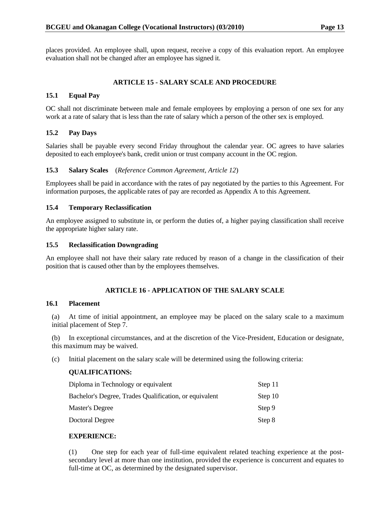places provided. An employee shall, upon request, receive a copy of this evaluation report. An employee evaluation shall not be changed after an employee has signed it.

# **ARTICLE 15 - SALARY SCALE AND PROCEDURE**

# **15.1 Equal Pay**

OC shall not discriminate between male and female employees by employing a person of one sex for any work at a rate of salary that is less than the rate of salary which a person of the other sex is employed.

# **15.2 Pay Days**

Salaries shall be payable every second Friday throughout the calendar year. OC agrees to have salaries deposited to each employee's bank, credit union or trust company account in the OC region.

# **15.3 Salary Scales** (*Reference Common Agreement, Article 12*)

Employees shall be paid in accordance with the rates of pay negotiated by the parties to this Agreement. For information purposes, the applicable rates of pay are recorded as Appendix A to this Agreement.

# **15.4 Temporary Reclassification**

An employee assigned to substitute in, or perform the duties of, a higher paying classification shall receive the appropriate higher salary rate.

#### **15.5 Reclassification Downgrading**

An employee shall not have their salary rate reduced by reason of a change in the classification of their position that is caused other than by the employees themselves.

# **ARTICLE 16 - APPLICATION OF THE SALARY SCALE**

# **16.1 Placement**

(a) At time of initial appointment, an employee may be placed on the salary scale to a maximum initial placement of Step 7.

(b) In exceptional circumstances, and at the discretion of the Vice-President, Education or designate, this maximum may be waived.

(c) Initial placement on the salary scale will be determined using the following criteria:

# **QUALIFICATIONS:**

| Diploma in Technology or equivalent                    | Step 11 |
|--------------------------------------------------------|---------|
| Bachelor's Degree, Trades Qualification, or equivalent | Step 10 |
| Master's Degree                                        | Step 9  |
| Doctoral Degree                                        | Step 8  |

# **EXPERIENCE:**

(1) One step for each year of full-time equivalent related teaching experience at the postsecondary level at more than one institution, provided the experience is concurrent and equates to full-time at OC, as determined by the designated supervisor.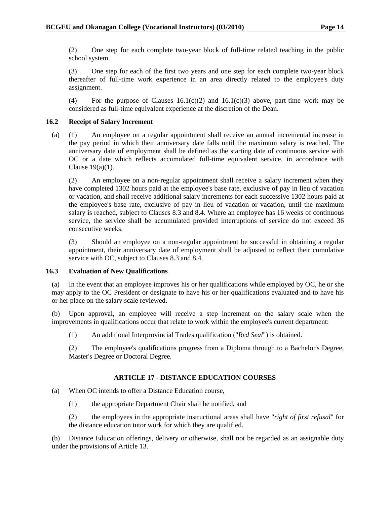(2) One step for each complete two-year block of full-time related teaching in the public school system.

(3) One step for each of the first two years and one step for each complete two-year block thereafter of full-time work experience in an area directly related to the employee's duty assignment.

(4) For the purpose of Clauses  $16.1(c)(2)$  and  $16.1(c)(3)$  above, part-time work may be considered as full-time equivalent experience at the discretion of the Dean.

# **16.2 Receipt of Salary Increment**

(a) (1) An employee on a regular appointment shall receive an annual incremental increase in the pay period in which their anniversary date falls until the maximum salary is reached. The anniversary date of employment shall be defined as the starting date of continuous service with OC or a date which reflects accumulated full-time equivalent service, in accordance with Clause 19(a)(1).

(2) An employee on a non-regular appointment shall receive a salary increment when they have completed 1302 hours paid at the employee's base rate, exclusive of pay in lieu of vacation or vacation, and shall receive additional salary increments for each successive 1302 hours paid at the employee's base rate, exclusive of pay in lieu of vacation or vacation, until the maximum salary is reached, subject to Clauses 8.3 and 8.4. Where an employee has 16 weeks of continuous service, the service shall be accumulated provided interruptions of service do not exceed 36 consecutive weeks.

(3) Should an employee on a non-regular appointment be successful in obtaining a regular appointment, their anniversary date of employment shall be adjusted to reflect their cumulative service with OC, subject to Clauses 8.3 and 8.4.

# **16.3 Evaluation of New Qualifications**

(a) In the event that an employee improves his or her qualifications while employed by OC, he or she may apply to the OC President or designate to have his or her qualifications evaluated and to have his or her place on the salary scale reviewed.

(b) Upon approval, an employee will receive a step increment on the salary scale when the improvements in qualifications occur that relate to work within the employee's current department:

(1) An additional Interprovincial Trades qualification ("*Red Seal*") is obtained.

(2) The employee's qualifications progress from a Diploma through to a Bachelor's Degree, Master's Degree or Doctoral Degree.

# **ARTICLE 17 - DISTANCE EDUCATION COURSES**

- (a) When OC intends to offer a Distance Education course,
	- (1) the appropriate Department Chair shall be notified, and

(2) the employees in the appropriate instructional areas shall have "*right of first refusal*" for the distance education tutor work for which they are qualified.

(b) Distance Education offerings, delivery or otherwise, shall not be regarded as an assignable duty under the provisions of Article 13.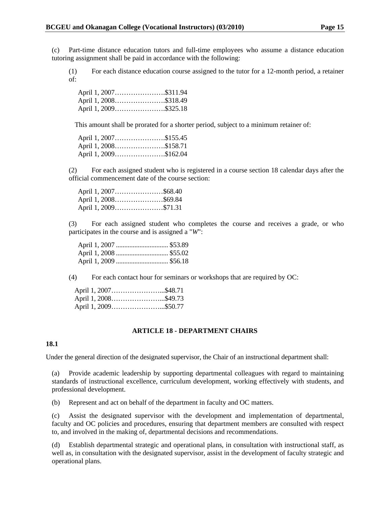(c) Part-time distance education tutors and full-time employees who assume a distance education tutoring assignment shall be paid in accordance with the following:

(1) For each distance education course assigned to the tutor for a 12-month period, a retainer of:

| April 1, 2007\$311.94 |  |
|-----------------------|--|
| April 1, 2008\$318.49 |  |
| April 1, 2009\$325.18 |  |

This amount shall be prorated for a shorter period, subject to a minimum retainer of:

| April 1, 2007\$155.45 |  |
|-----------------------|--|
| April 1, 2008\$158.71 |  |
| April 1, 2009\$162.04 |  |

(2) For each assigned student who is registered in a course section 18 calendar days after the official commencement date of the course section:

| April 1, 2007\$68.40 |  |
|----------------------|--|
| April 1, 2008\$69.84 |  |
| April 1, 2009\$71.31 |  |

(3) For each assigned student who completes the course and receives a grade, or who participates in the course and is assigned a "*W*":

(4) For each contact hour for seminars or workshops that are required by OC:

| April 1, 2007\$48.71 |  |
|----------------------|--|
| April 1, 2008\$49.73 |  |
| April 1, 2009\$50.77 |  |

# **ARTICLE 18 - DEPARTMENT CHAIRS**

#### **18.1**

Under the general direction of the designated supervisor, the Chair of an instructional department shall:

(a) Provide academic leadership by supporting departmental colleagues with regard to maintaining standards of instructional excellence, curriculum development, working effectively with students, and professional development.

(b) Represent and act on behalf of the department in faculty and OC matters.

(c) Assist the designated supervisor with the development and implementation of departmental, faculty and OC policies and procedures, ensuring that department members are consulted with respect to, and involved in the making of, departmental decisions and recommendations.

(d) Establish departmental strategic and operational plans, in consultation with instructional staff, as well as, in consultation with the designated supervisor, assist in the development of faculty strategic and operational plans.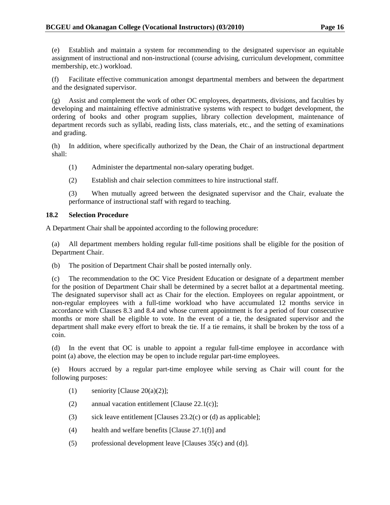(e) Establish and maintain a system for recommending to the designated supervisor an equitable assignment of instructional and non-instructional (course advising, curriculum development, committee membership, etc.) workload.

(f) Facilitate effective communication amongst departmental members and between the department and the designated supervisor.

(g) Assist and complement the work of other OC employees, departments, divisions, and faculties by developing and maintaining effective administrative systems with respect to budget development, the ordering of books and other program supplies, library collection development, maintenance of department records such as syllabi, reading lists, class materials, etc., and the setting of examinations and grading.

(h) In addition, where specifically authorized by the Dean, the Chair of an instructional department shall:

- (1) Administer the departmental non-salary operating budget.
- (2) Establish and chair selection committees to hire instructional staff.

(3) When mutually agreed between the designated supervisor and the Chair, evaluate the performance of instructional staff with regard to teaching.

# **18.2 Selection Procedure**

A Department Chair shall be appointed according to the following procedure:

(a) All department members holding regular full-time positions shall be eligible for the position of Department Chair.

(b) The position of Department Chair shall be posted internally only.

(c) The recommendation to the OC Vice President Education or designate of a department member for the position of Department Chair shall be determined by a secret ballot at a departmental meeting. The designated supervisor shall act as Chair for the election. Employees on regular appointment, or non-regular employees with a full-time workload who have accumulated 12 months service in accordance with Clauses 8.3 and 8.4 and whose current appointment is for a period of four consecutive months or more shall be eligible to vote. In the event of a tie, the designated supervisor and the department shall make every effort to break the tie. If a tie remains, it shall be broken by the toss of a coin.

(d) In the event that OC is unable to appoint a regular full-time employee in accordance with point (a) above, the election may be open to include regular part-time employees.

(e) Hours accrued by a regular part-time employee while serving as Chair will count for the following purposes:

- (1) seniority [Clause  $20(a)(2)$ ];
- (2) annual vacation entitlement [Clause 22.1(c)];
- (3) sick leave entitlement [Clauses 23.2(c) or (d) as applicable];
- (4) health and welfare benefits [Clause 27.1(f)] and
- (5) professional development leave [Clauses 35(c) and (d)].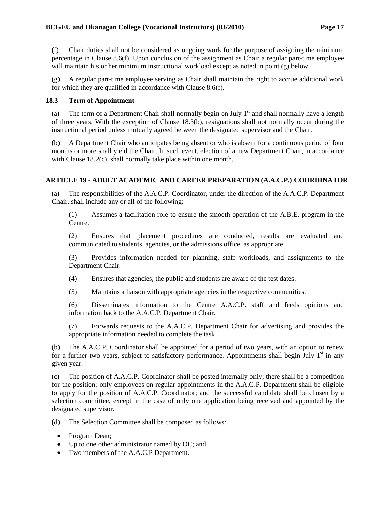(f) Chair duties shall not be considered as ongoing work for the purpose of assigning the minimum percentage in Clause 8.6(f). Upon conclusion of the assignment as Chair a regular part-time employee will maintain his or her minimum instructional workload except as noted in point (g) below.

(g) A regular part-time employee serving as Chair shall maintain the right to accrue additional work for which they are qualified in accordance with Clause 8.6(f).

# **18.3 Term of Appointment**

(a) The term of a Department Chair shall normally begin on July  $1<sup>st</sup>$  and shall normally have a length of three years. With the exception of Clause 18.3(b), resignations shall not normally occur during the instructional period unless mutually agreed between the designated supervisor and the Chair.

(b) A Department Chair who anticipates being absent or who is absent for a continuous period of four months or more shall yield the Chair. In such event, election of a new Department Chair, in accordance with Clause 18.2(c), shall normally take place within one month.

# **ARTICLE 19 - ADULT ACADEMIC AND CAREER PREPARATION (A.A.C.P.) COORDINATOR**

(a) The responsibilities of the A.A.C.P. Coordinator, under the direction of the A.A.C.P. Department Chair, shall include any or all of the following:

(1) Assumes a facilitation role to ensure the smooth operation of the A.B.E. program in the Centre.

(2) Ensures that placement procedures are conducted, results are evaluated and communicated to students, agencies, or the admissions office, as appropriate.

(3) Provides information needed for planning, staff workloads, and assignments to the Department Chair.

(4) Ensures that agencies, the public and students are aware of the test dates.

(5) Maintains a liaison with appropriate agencies in the respective communities.

(6) Disseminates information to the Centre A.A.C.P. staff and feeds opinions and information back to the A.A.C.P. Department Chair.

(7) Forwards requests to the A.A.C.P. Department Chair for advertising and provides the appropriate information needed to complete the task.

(b) The A.A.C.P. Coordinator shall be appointed for a period of two years, with an option to renew for a further two years, subject to satisfactory performance. Appointments shall begin July  $1<sup>st</sup>$  in any given year.

(c) The position of A.A.C.P. Coordinator shall be posted internally only; there shall be a competition for the position; only employees on regular appointments in the A.A.C.P. Department shall be eligible to apply for the position of A.A.C.P. Coordinator; and the successful candidate shall be chosen by a selection committee, except in the case of only one application being received and appointed by the designated supervisor.

(d) The Selection Committee shall be composed as follows:

- Program Dean:
- Up to one other administrator named by OC; and
- Two members of the A.A.C.P Department.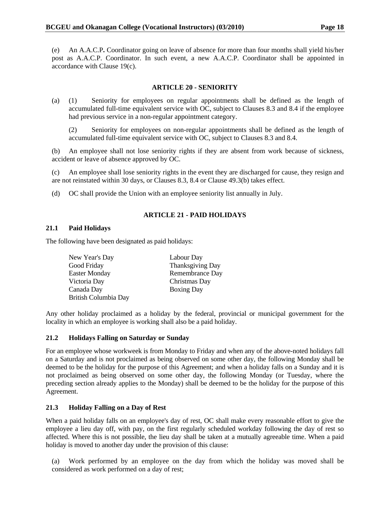(e) An A.A.C.P**.** Coordinator going on leave of absence for more than four months shall yield his/her post as A.A.C.P. Coordinator. In such event, a new A.A.C.P. Coordinator shall be appointed in accordance with Clause 19(c).

# **ARTICLE 20 - SENIORITY**

(a) (1) Seniority for employees on regular appointments shall be defined as the length of accumulated full-time equivalent service with OC, subject to Clauses 8.3 and 8.4 if the employee had previous service in a non-regular appointment category.

(2) Seniority for employees on non-regular appointments shall be defined as the length of accumulated full-time equivalent service with OC, subject to Clauses 8.3 and 8.4.

(b) An employee shall not lose seniority rights if they are absent from work because of sickness, accident or leave of absence approved by OC.

(c) An employee shall lose seniority rights in the event they are discharged for cause, they resign and are not reinstated within 30 days, or Clauses 8.3, 8.4 or Clause 49.3(b) takes effect.

(d) OC shall provide the Union with an employee seniority list annually in July.

# **ARTICLE 21 - PAID HOLIDAYS**

# **21.1 Paid Holidays**

The following have been designated as paid holidays:

| New Year's Day       | Labour Day        |
|----------------------|-------------------|
| Good Friday          | Thanksgiving Day  |
| <b>Easter Monday</b> | Remembrance Day   |
| Victoria Day         | Christmas Day     |
| Canada Day           | <b>Boxing Day</b> |
| British Columbia Day |                   |

Any other holiday proclaimed as a holiday by the federal, provincial or municipal government for the locality in which an employee is working shall also be a paid holiday.

# **21.2 Holidays Falling on Saturday or Sunday**

For an employee whose workweek is from Monday to Friday and when any of the above-noted holidays fall on a Saturday and is not proclaimed as being observed on some other day, the following Monday shall be deemed to be the holiday for the purpose of this Agreement; and when a holiday falls on a Sunday and it is not proclaimed as being observed on some other day, the following Monday (or Tuesday, where the preceding section already applies to the Monday) shall be deemed to be the holiday for the purpose of this Agreement.

# **21.3 Holiday Falling on a Day of Rest**

When a paid holiday falls on an employee's day of rest, OC shall make every reasonable effort to give the employee a lieu day off, with pay, on the first regularly scheduled workday following the day of rest so affected. Where this is not possible, the lieu day shall be taken at a mutually agreeable time. When a paid holiday is moved to another day under the provision of this clause:

(a) Work performed by an employee on the day from which the holiday was moved shall be considered as work performed on a day of rest;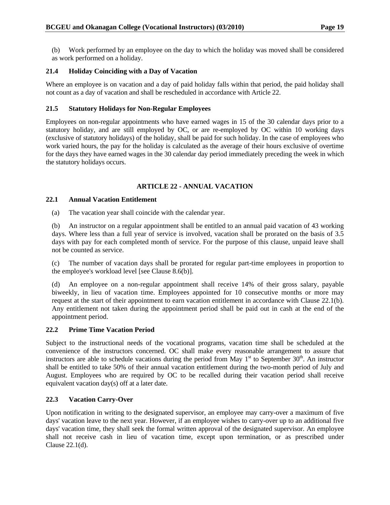(b) Work performed by an employee on the day to which the holiday was moved shall be considered as work performed on a holiday.

# **21.4 Holiday Coinciding with a Day of Vacation**

Where an employee is on vacation and a day of paid holiday falls within that period, the paid holiday shall not count as a day of vacation and shall be rescheduled in accordance with Article 22.

# **21.5 Statutory Holidays for Non-Regular Employees**

Employees on non-regular appointments who have earned wages in 15 of the 30 calendar days prior to a statutory holiday, and are still employed by OC, or are re-employed by OC within 10 working days (exclusive of statutory holidays) of the holiday, shall be paid for such holiday. In the case of employees who work varied hours, the pay for the holiday is calculated as the average of their hours exclusive of overtime for the days they have earned wages in the 30 calendar day period immediately preceding the week in which the statutory holidays occurs.

# **ARTICLE 22 - ANNUAL VACATION**

# **22.1 Annual Vacation Entitlement**

(a) The vacation year shall coincide with the calendar year.

(b) An instructor on a regular appointment shall be entitled to an annual paid vacation of 43 working days. Where less than a full year of service is involved, vacation shall be prorated on the basis of 3.5 days with pay for each completed month of service. For the purpose of this clause, unpaid leave shall not be counted as service.

(c) The number of vacation days shall be prorated for regular part-time employees in proportion to the employee's workload level [see Clause 8.6(b)].

(d) An employee on a non-regular appointment shall receive 14% of their gross salary, payable biweekly, in lieu of vacation time. Employees appointed for 10 consecutive months or more may request at the start of their appointment to earn vacation entitlement in accordance with Clause 22.1(b). Any entitlement not taken during the appointment period shall be paid out in cash at the end of the appointment period.

# **22.2 Prime Time Vacation Period**

Subject to the instructional needs of the vocational programs, vacation time shall be scheduled at the convenience of the instructors concerned. OC shall make every reasonable arrangement to assure that instructors are able to schedule vacations during the period from May  $1<sup>st</sup>$  to September 30<sup>th</sup>. An instructor shall be entitled to take 50% of their annual vacation entitlement during the two-month period of July and August. Employees who are required by OC to be recalled during their vacation period shall receive equivalent vacation day(s) off at a later date.

# **22.3 Vacation Carry-Over**

Upon notification in writing to the designated supervisor, an employee may carry-over a maximum of five days' vacation leave to the next year. However, if an employee wishes to carry-over up to an additional five days' vacation time, they shall seek the formal written approval of the designated supervisor. An employee shall not receive cash in lieu of vacation time, except upon termination, or as prescribed under Clause 22.1(d).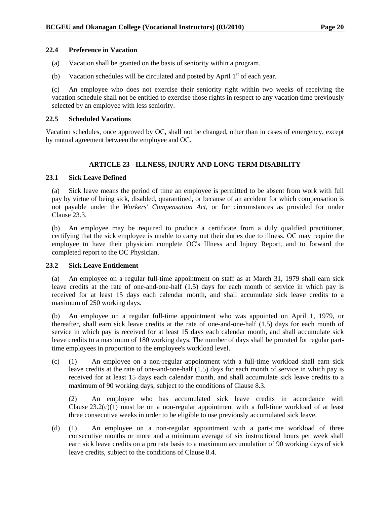#### **22.4 Preference in Vacation**

- (a) Vacation shall be granted on the basis of seniority within a program.
- (b) Vacation schedules will be circulated and posted by April  $1<sup>st</sup>$  of each year.

(c) An employee who does not exercise their seniority right within two weeks of receiving the vacation schedule shall not be entitled to exercise those rights in respect to any vacation time previously selected by an employee with less seniority.

# **22.5 Scheduled Vacations**

Vacation schedules, once approved by OC, shall not be changed, other than in cases of emergency, except by mutual agreement between the employee and OC.

# **ARTICLE 23 - ILLNESS, INJURY AND LONG-TERM DISABILITY**

#### **23.1 Sick Leave Defined**

(a) Sick leave means the period of time an employee is permitted to be absent from work with full pay by virtue of being sick, disabled, quarantined, or because of an accident for which compensation is not payable under the *Workers' Compensation Act*, or for circumstances as provided for under Clause 23.3.

(b) An employee may be required to produce a certificate from a duly qualified practitioner, certifying that the sick employee is unable to carry out their duties due to illness. OC may require the employee to have their physician complete OC's Illness and Injury Report, and to forward the completed report to the OC Physician.

#### **23.2 Sick Leave Entitlement**

(a) An employee on a regular full-time appointment on staff as at March 31, 1979 shall earn sick leave credits at the rate of one-and-one-half (1.5) days for each month of service in which pay is received for at least 15 days each calendar month, and shall accumulate sick leave credits to a maximum of 250 working days.

(b) An employee on a regular full-time appointment who was appointed on April 1, 1979, or thereafter, shall earn sick leave credits at the rate of one-and-one-half (1.5) days for each month of service in which pay is received for at least 15 days each calendar month, and shall accumulate sick leave credits to a maximum of 180 working days. The number of days shall be prorated for regular parttime employees in proportion to the employee's workload level.

(c) (1) An employee on a non-regular appointment with a full-time workload shall earn sick leave credits at the rate of one-and-one-half (1.5) days for each month of service in which pay is received for at least 15 days each calendar month, and shall accumulate sick leave credits to a maximum of 90 working days, subject to the conditions of Clause 8.3.

(2) An employee who has accumulated sick leave credits in accordance with Clause  $23.2(c)(1)$  must be on a non-regular appointment with a full-time workload of at least three consecutive weeks in order to be eligible to use previously accumulated sick leave.

(d) (1) An employee on a non-regular appointment with a part-time workload of three consecutive months or more and a minimum average of six instructional hours per week shall earn sick leave credits on a pro rata basis to a maximum accumulation of 90 working days of sick leave credits, subject to the conditions of Clause 8.4.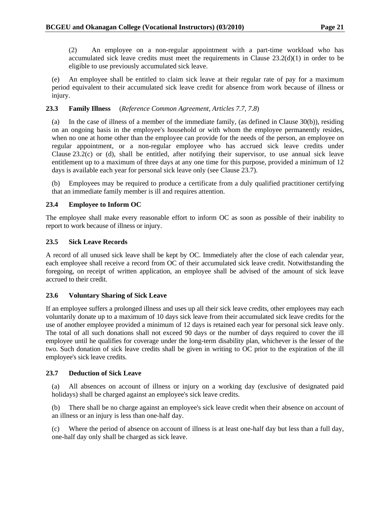(2) An employee on a non-regular appointment with a part-time workload who has accumulated sick leave credits must meet the requirements in Clause  $23.2(d)(1)$  in order to be eligible to use previously accumulated sick leave.

(e) An employee shall be entitled to claim sick leave at their regular rate of pay for a maximum period equivalent to their accumulated sick leave credit for absence from work because of illness or injury.

# **23.3 Family Illness** (*Reference Common Agreement, Articles 7.7, 7.8*)

(a) In the case of illness of a member of the immediate family, (as defined in Clause 30(b)), residing on an ongoing basis in the employee's household or with whom the employee permanently resides, when no one at home other than the employee can provide for the needs of the person, an employee on regular appointment, or a non-regular employee who has accrued sick leave credits under Clause 23.2(c) or (d), shall be entitled, after notifying their supervisor, to use annual sick leave entitlement up to a maximum of three days at any one time for this purpose, provided a minimum of 12 days is available each year for personal sick leave only (see Clause 23.7).

(b) Employees may be required to produce a certificate from a duly qualified practitioner certifying that an immediate family member is ill and requires attention.

# **23.4 Employee to Inform OC**

The employee shall make every reasonable effort to inform OC as soon as possible of their inability to report to work because of illness or injury.

# **23.5 Sick Leave Records**

A record of all unused sick leave shall be kept by OC. Immediately after the close of each calendar year, each employee shall receive a record from OC of their accumulated sick leave credit. Notwithstanding the foregoing, on receipt of written application, an employee shall be advised of the amount of sick leave accrued to their credit.

# **23.6 Voluntary Sharing of Sick Leave**

If an employee suffers a prolonged illness and uses up all their sick leave credits, other employees may each voluntarily donate up to a maximum of 10 days sick leave from their accumulated sick leave credits for the use of another employee provided a minimum of 12 days is retained each year for personal sick leave only. The total of all such donations shall not exceed 90 days or the number of days required to cover the ill employee until he qualifies for coverage under the long-term disability plan, whichever is the lesser of the two. Such donation of sick leave credits shall be given in writing to OC prior to the expiration of the ill employee's sick leave credits.

# **23.7 Deduction of Sick Leave**

(a) All absences on account of illness or injury on a working day (exclusive of designated paid holidays) shall be charged against an employee's sick leave credits.

(b) There shall be no charge against an employee's sick leave credit when their absence on account of an illness or an injury is less than one-half day.

(c) Where the period of absence on account of illness is at least one-half day but less than a full day, one-half day only shall be charged as sick leave.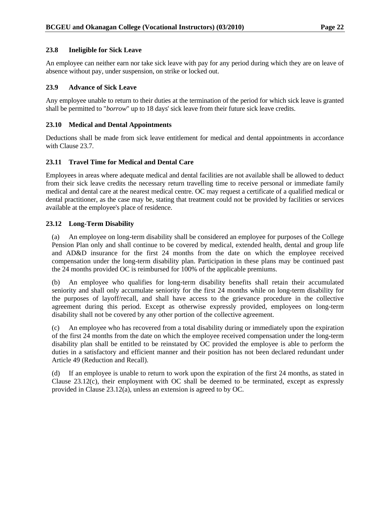# **23.8 Ineligible for Sick Leave**

An employee can neither earn nor take sick leave with pay for any period during which they are on leave of absence without pay, under suspension, on strike or locked out.

# **23.9 Advance of Sick Leave**

Any employee unable to return to their duties at the termination of the period for which sick leave is granted shall be permitted to "*borrow*" up to 18 days' sick leave from their future sick leave credits.

# **23.10 Medical and Dental Appointments**

Deductions shall be made from sick leave entitlement for medical and dental appointments in accordance with Clause 23.7.

# **23.11 Travel Time for Medical and Dental Care**

Employees in areas where adequate medical and dental facilities are not available shall be allowed to deduct from their sick leave credits the necessary return travelling time to receive personal or immediate family medical and dental care at the nearest medical centre. OC may request a certificate of a qualified medical or dental practitioner, as the case may be, stating that treatment could not be provided by facilities or services available at the employee's place of residence.

# **23.12 Long-Term Disability**

(a) An employee on long-term disability shall be considered an employee for purposes of the College Pension Plan only and shall continue to be covered by medical, extended health, dental and group life and AD&D insurance for the first 24 months from the date on which the employee received compensation under the long-term disability plan. Participation in these plans may be continued past the 24 months provided OC is reimbursed for 100% of the applicable premiums.

(b) An employee who qualifies for long-term disability benefits shall retain their accumulated seniority and shall only accumulate seniority for the first 24 months while on long-term disability for the purposes of layoff/recall, and shall have access to the grievance procedure in the collective agreement during this period. Except as otherwise expressly provided, employees on long-term disability shall not be covered by any other portion of the collective agreement.

(c) An employee who has recovered from a total disability during or immediately upon the expiration of the first 24 months from the date on which the employee received compensation under the long-term disability plan shall be entitled to be reinstated by OC provided the employee is able to perform the duties in a satisfactory and efficient manner and their position has not been declared redundant under Article 49 (Reduction and Recall).

(d) If an employee is unable to return to work upon the expiration of the first 24 months, as stated in Clause 23.12(c), their employment with OC shall be deemed to be terminated, except as expressly provided in Clause 23.12(a), unless an extension is agreed to by OC.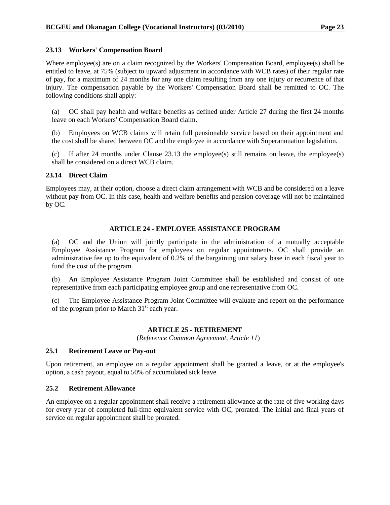#### **23.13 Workers' Compensation Board**

Where employee(s) are on a claim recognized by the Workers' Compensation Board, employee(s) shall be entitled to leave, at 75% (subject to upward adjustment in accordance with WCB rates) of their regular rate of pay, for a maximum of 24 months for any one claim resulting from any one injury or recurrence of that injury. The compensation payable by the Workers' Compensation Board shall be remitted to OC. The following conditions shall apply:

(a) OC shall pay health and welfare benefits as defined under Article 27 during the first 24 months leave on each Workers' Compensation Board claim.

(b) Employees on WCB claims will retain full pensionable service based on their appointment and the cost shall be shared between OC and the employee in accordance with Superannuation legislation.

(c) If after 24 months under Clause 23.13 the employee(s) still remains on leave, the employee(s) shall be considered on a direct WCB claim.

#### **23.14 Direct Claim**

Employees may, at their option, choose a direct claim arrangement with WCB and be considered on a leave without pay from OC. In this case, health and welfare benefits and pension coverage will not be maintained by OC.

# **ARTICLE 24 - EMPLOYEE ASSISTANCE PROGRAM**

(a) OC and the Union will jointly participate in the administration of a mutually acceptable Employee Assistance Program for employees on regular appointments. OC shall provide an administrative fee up to the equivalent of 0.2% of the bargaining unit salary base in each fiscal year to fund the cost of the program.

(b) An Employee Assistance Program Joint Committee shall be established and consist of one representative from each participating employee group and one representative from OC.

(c) The Employee Assistance Program Joint Committee will evaluate and report on the performance of the program prior to March  $31<sup>st</sup>$  each year.

# **ARTICLE 25 - RETIREMENT**

(*Reference Common Agreement, Article 11*)

# **25.1 Retirement Leave or Pay-out**

Upon retirement, an employee on a regular appointment shall be granted a leave, or at the employee's option, a cash payout, equal to 50% of accumulated sick leave.

#### **25.2 Retirement Allowance**

An employee on a regular appointment shall receive a retirement allowance at the rate of five working days for every year of completed full-time equivalent service with OC, prorated. The initial and final years of service on regular appointment shall be prorated.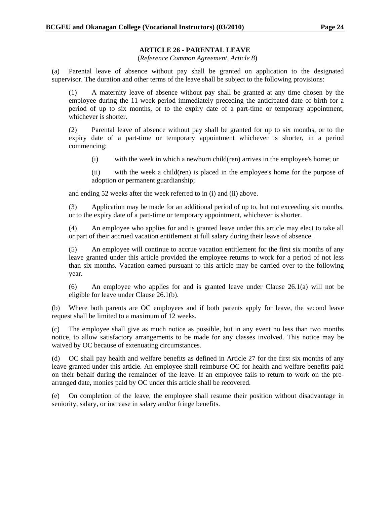# **ARTICLE 26 - PARENTAL LEAVE**

(*Reference Common Agreement, Article 8*)

(a) Parental leave of absence without pay shall be granted on application to the designated supervisor. The duration and other terms of the leave shall be subject to the following provisions:

(1) A maternity leave of absence without pay shall be granted at any time chosen by the employee during the 11-week period immediately preceding the anticipated date of birth for a period of up to six months, or to the expiry date of a part-time or temporary appointment, whichever is shorter.

(2) Parental leave of absence without pay shall be granted for up to six months, or to the expiry date of a part-time or temporary appointment whichever is shorter, in a period commencing:

(i) with the week in which a newborn child(ren) arrives in the employee's home; or

(ii) with the week a child(ren) is placed in the employee's home for the purpose of adoption or permanent guardianship;

and ending 52 weeks after the week referred to in (i) and (ii) above.

(3) Application may be made for an additional period of up to, but not exceeding six months, or to the expiry date of a part-time or temporary appointment, whichever is shorter.

(4) An employee who applies for and is granted leave under this article may elect to take all or part of their accrued vacation entitlement at full salary during their leave of absence.

(5) An employee will continue to accrue vacation entitlement for the first six months of any leave granted under this article provided the employee returns to work for a period of not less than six months. Vacation earned pursuant to this article may be carried over to the following year.

(6) An employee who applies for and is granted leave under Clause 26.1(a) will not be eligible for leave under Clause 26.1(b).

(b) Where both parents are OC employees and if both parents apply for leave, the second leave request shall be limited to a maximum of 12 weeks.

(c) The employee shall give as much notice as possible, but in any event no less than two months notice, to allow satisfactory arrangements to be made for any classes involved. This notice may be waived by OC because of extenuating circumstances.

(d) OC shall pay health and welfare benefits as defined in Article 27 for the first six months of any leave granted under this article. An employee shall reimburse OC for health and welfare benefits paid on their behalf during the remainder of the leave. If an employee fails to return to work on the prearranged date, monies paid by OC under this article shall be recovered.

(e) On completion of the leave, the employee shall resume their position without disadvantage in seniority, salary, or increase in salary and/or fringe benefits.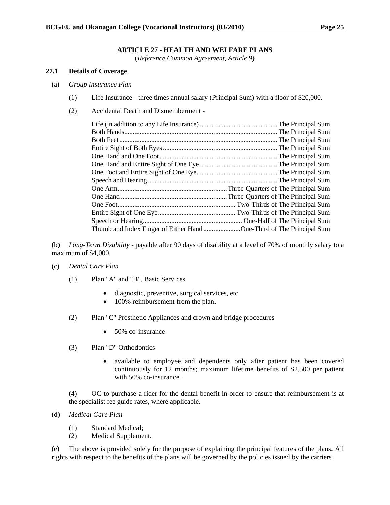#### **ARTICLE 27 - HEALTH AND WELFARE PLANS**

(*Reference Common Agreement, Article 9*)

#### **27.1 Details of Coverage**

#### (a) *Group Insurance Plan*

- (1) Life Insurance three times annual salary (Principal Sum) with a floor of \$20,000.
- (2) Accidental Death and Dismemberment -

(b) *Long-Term Disability* - payable after 90 days of disability at a level of 70% of monthly salary to a maximum of \$4,000.

- (c) *Dental Care Plan* 
	- (1) Plan "A" and "B", Basic Services
		- diagnostic, preventive, surgical services, etc.
		- 100% reimbursement from the plan.
	- (2) Plan "C" Prosthetic Appliances and crown and bridge procedures
		- 50% co-insurance
	- (3) Plan "D" Orthodontics
		- available to employee and dependents only after patient has been covered continuously for 12 months; maximum lifetime benefits of \$2,500 per patient with 50% co-insurance.

(4) OC to purchase a rider for the dental benefit in order to ensure that reimbursement is at the specialist fee guide rates, where applicable.

- (d) *Medical Care Plan* 
	- (1) Standard Medical;
	- (2) Medical Supplement.

(e) The above is provided solely for the purpose of explaining the principal features of the plans. All rights with respect to the benefits of the plans will be governed by the policies issued by the carriers.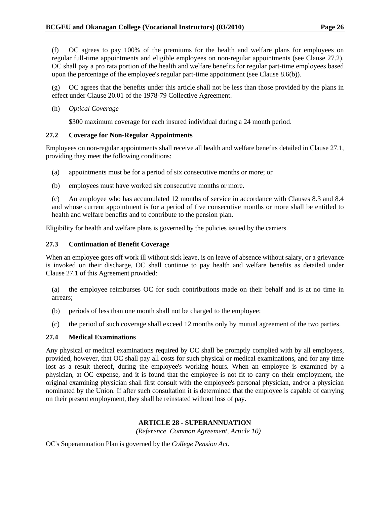(f) OC agrees to pay 100% of the premiums for the health and welfare plans for employees on regular full-time appointments and eligible employees on non-regular appointments (see Clause 27.2). OC shall pay a pro rata portion of the health and welfare benefits for regular part-time employees based upon the percentage of the employee's regular part-time appointment (see Clause 8.6(b)).

(g) OC agrees that the benefits under this article shall not be less than those provided by the plans in effect under Clause 20.01 of the 1978-79 Collective Agreement.

(h) *Optical Coverage* 

\$300 maximum coverage for each insured individual during a 24 month period.

# **27.2 Coverage for Non-Regular Appointments**

Employees on non-regular appointments shall receive all health and welfare benefits detailed in Clause 27.1, providing they meet the following conditions:

- (a) appointments must be for a period of six consecutive months or more; or
- (b) employees must have worked six consecutive months or more.

(c) An employee who has accumulated 12 months of service in accordance with Clauses 8.3 and 8.4 and whose current appointment is for a period of five consecutive months or more shall be entitled to health and welfare benefits and to contribute to the pension plan.

Eligibility for health and welfare plans is governed by the policies issued by the carriers.

# **27.3 Continuation of Benefit Coverage**

When an employee goes off work ill without sick leave, is on leave of absence without salary, or a grievance is invoked on their discharge, OC shall continue to pay health and welfare benefits as detailed under Clause 27.1 of this Agreement provided:

(a) the employee reimburses OC for such contributions made on their behalf and is at no time in arrears;

- (b) periods of less than one month shall not be charged to the employee;
- (c) the period of such coverage shall exceed 12 months only by mutual agreement of the two parties.

# **27.4 Medical Examinations**

Any physical or medical examinations required by OC shall be promptly complied with by all employees, provided, however, that OC shall pay all costs for such physical or medical examinations, and for any time lost as a result thereof, during the employee's working hours. When an employee is examined by a physician, at OC expense, and it is found that the employee is not fit to carry on their employment, the original examining physician shall first consult with the employee's personal physician, and/or a physician nominated by the Union. If after such consultation it is determined that the employee is capable of carrying on their present employment, they shall be reinstated without loss of pay.

# **ARTICLE 28 - SUPERANNUATION**

*(Reference Common Agreement, Article 10)* 

OC's Superannuation Plan is governed by the *College Pension Act*.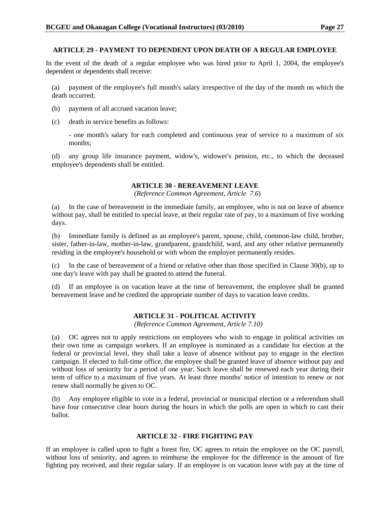#### **ARTICLE 29 - PAYMENT TO DEPENDENT UPON DEATH OF A REGULAR EMPLOYEE**

In the event of the death of a regular employee who was hired prior to April 1, 2004, the employee's dependent or dependents shall receive:

(a) payment of the employee's full month's salary irrespective of the day of the month on which the death occurred;

- (b) payment of all accrued vacation leave;
- (c) death in service benefits as follows:

- one month's salary for each completed and continuous year of service to a maximum of six months;

(d) any group life insurance payment, widow's, widower's pension, etc., to which the deceased employee's dependents shall be entitled.

#### **ARTICLE 30 - BEREAVEMENT LEAVE**

*(Reference Common Agreement, Article 7.6*)

(a) In the case of bereavement in the immediate family, an employee, who is not on leave of absence without pay, shall be entitled to special leave, at their regular rate of pay, to a maximum of five working days.

(b) Immediate family is defined as an employee's parent, spouse, child, common-law child, brother, sister, father-in-law, mother-in-law, grandparent, grandchild, ward, and any other relative permanently residing in the employee's household or with whom the employee permanently resides.

(c) In the case of bereavement of a friend or relative other than those specified in Clause 30(b), up to one day's leave with pay shall be granted to attend the funeral.

(d) If an employee is on vacation leave at the time of bereavement, the employee shall be granted bereavement leave and be credited the appropriate number of days to vacation leave credits.

# **ARTICLE 31 - POLITICAL ACTIVITY**

*(Reference Common Agreement, Article 7.10)* 

(a) OC agrees not to apply restrictions on employees who wish to engage in political activities on their own time as campaign workers. If an employee is nominated as a candidate for election at the federal or provincial level, they shall take a leave of absence without pay to engage in the election campaign. If elected to full-time office, the employee shall be granted leave of absence without pay and without loss of seniority for a period of one year. Such leave shall be renewed each year during their term of office to a maximum of five years. At least three months' notice of intention to renew or not renew shall normally be given to OC.

(b) Any employee eligible to vote in a federal, provincial or municipal election or a referendum shall have four consecutive clear hours during the hours in which the polls are open in which to cast their ballot.

#### **ARTICLE 32 - FIRE FIGHTING PAY**

If an employee is called upon to fight a forest fire, OC agrees to retain the employee on the OC payroll, without loss of seniority, and agrees to reimburse the employee for the difference in the amount of fire fighting pay received, and their regular salary. If an employee is on vacation leave with pay at the time of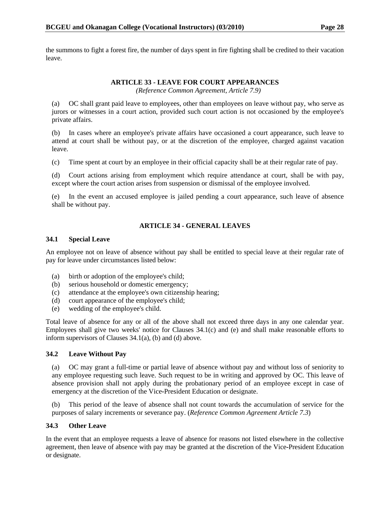the summons to fight a forest fire, the number of days spent in fire fighting shall be credited to their vacation leave.

#### **ARTICLE 33 - LEAVE FOR COURT APPEARANCES**

*(Reference Common Agreement, Article 7.9)* 

(a) OC shall grant paid leave to employees, other than employees on leave without pay, who serve as jurors or witnesses in a court action, provided such court action is not occasioned by the employee's private affairs.

(b) In cases where an employee's private affairs have occasioned a court appearance, such leave to attend at court shall be without pay, or at the discretion of the employee, charged against vacation leave.

(c) Time spent at court by an employee in their official capacity shall be at their regular rate of pay.

(d) Court actions arising from employment which require attendance at court, shall be with pay, except where the court action arises from suspension or dismissal of the employee involved.

(e) In the event an accused employee is jailed pending a court appearance, such leave of absence shall be without pay.

# **ARTICLE 34 - GENERAL LEAVES**

#### **34.1 Special Leave**

An employee not on leave of absence without pay shall be entitled to special leave at their regular rate of pay for leave under circumstances listed below:

- (a) birth or adoption of the employee's child;
- (b) serious household or domestic emergency;
- (c) attendance at the employee's own citizenship hearing;
- (d) court appearance of the employee's child;
- (e) wedding of the employee's child.

Total leave of absence for any or all of the above shall not exceed three days in any one calendar year. Employees shall give two weeks' notice for Clauses 34.1(c) and (e) and shall make reasonable efforts to inform supervisors of Clauses 34.1(a), (b) and (d) above.

#### **34.2 Leave Without Pay**

(a) OC may grant a full-time or partial leave of absence without pay and without loss of seniority to any employee requesting such leave. Such request to be in writing and approved by OC. This leave of absence provision shall not apply during the probationary period of an employee except in case of emergency at the discretion of the Vice**-**President Education or designate.

(b) This period of the leave of absence shall not count towards the accumulation of service for the purposes of salary increments or severance pay. (*Reference Common Agreement Article 7.3*)

#### **34.3 Other Leave**

In the event that an employee requests a leave of absence for reasons not listed elsewhere in the collective agreement, then leave of absence with pay may be granted at the discretion of the Vice**-**President Education or designate.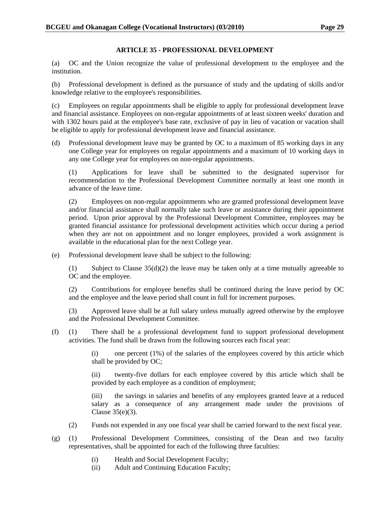#### **ARTICLE 35 - PROFESSIONAL DEVELOPMENT**

(a) OC and the Union recognize the value of professional development to the employee and the institution.

(b) Professional development is defined as the pursuance of study and the updating of skills and/or knowledge relative to the employee's responsibilities.

(c) Employees on regular appointments shall be eligible to apply for professional development leave and financial assistance. Employees on non-regular appointments of at least sixteen weeks' duration and with 1302 hours paid at the employee's base rate, exclusive of pay in lieu of vacation or vacation shall be eligible to apply for professional development leave and financial assistance.

(d) Professional development leave may be granted by OC to a maximum of 85 working days in any one College year for employees on regular appointments and a maximum of 10 working days in any one College year for employees on non-regular appointments.

(1) Applications for leave shall be submitted to the designated supervisor for recommendation to the Professional Development Committee normally at least one month in advance of the leave time.

(2) Employees on non-regular appointments who are granted professional development leave and/or financial assistance shall normally take such leave or assistance during their appointment period. Upon prior approval by the Professional Development Committee, employees may be granted financial assistance for professional development activities which occur during a period when they are not on appointment and no longer employees, provided a work assignment is available in the educational plan for the next College year.

(e) Professional development leave shall be subject to the following:

(1) Subject to Clause 35(d)(2) the leave may be taken only at a time mutually agreeable to OC and the employee.

(2) Contributions for employee benefits shall be continued during the leave period by OC and the employee and the leave period shall count in full for increment purposes.

(3) Approved leave shall be at full salary unless mutually agreed otherwise by the employee and the Professional Development Committee.

(f) (1) There shall be a professional development fund to support professional development activities. The fund shall be drawn from the following sources each fiscal year:

> (i) one percent (1%) of the salaries of the employees covered by this article which shall be provided by OC;

> (ii) twenty-five dollars for each employee covered by this article which shall be provided by each employee as a condition of employment;

> (iii) the savings in salaries and benefits of any employees granted leave at a reduced salary as a consequence of any arrangement made under the provisions of Clause 35(e)(3).

- (2) Funds not expended in any one fiscal year shall be carried forward to the next fiscal year.
- (g) (1) Professional Development Committees, consisting of the Dean and two faculty representatives, shall be appointed for each of the following three faculties:
	- (i) Health and Social Development Faculty;
	- (ii) Adult and Continuing Education Faculty;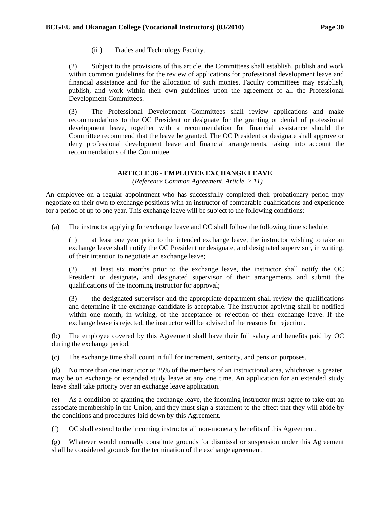(iii) Trades and Technology Faculty.

(2) Subject to the provisions of this article, the Committees shall establish, publish and work within common guidelines for the review of applications for professional development leave and financial assistance and for the allocation of such monies. Faculty committees may establish, publish, and work within their own guidelines upon the agreement of all the Professional Development Committees.

(3) The Professional Development Committees shall review applications and make recommendations to the OC President or designate for the granting or denial of professional development leave, together with a recommendation for financial assistance should the Committee recommend that the leave be granted. The OC President or designate shall approve or deny professional development leave and financial arrangements, taking into account the recommendations of the Committee.

# **ARTICLE 36 - EMPLOYEE EXCHANGE LEAVE**

 *(Reference Common Agreement, Article 7.11)* 

An employee on a regular appointment who has successfully completed their probationary period may negotiate on their own to exchange positions with an instructor of comparable qualifications and experience for a period of up to one year. This exchange leave will be subject to the following conditions:

(a) The instructor applying for exchange leave and OC shall follow the following time schedule:

(1) at least one year prior to the intended exchange leave, the instructor wishing to take an exchange leave shall notify the OC President or designate, and designated supervisor, in writing, of their intention to negotiate an exchange leave;

(2) at least six months prior to the exchange leave, the instructor shall notify the OC President or designate**,** and designated supervisor of their arrangements and submit the qualifications of the incoming instructor for approval;

(3) the designated supervisor and the appropriate department shall review the qualifications and determine if the exchange candidate is acceptable. The instructor applying shall be notified within one month, in writing, of the acceptance or rejection of their exchange leave. If the exchange leave is rejected, the instructor will be advised of the reasons for rejection.

(b) The employee covered by this Agreement shall have their full salary and benefits paid by OC during the exchange period.

(c) The exchange time shall count in full for increment, seniority, and pension purposes.

(d) No more than one instructor or 25% of the members of an instructional area, whichever is greater, may be on exchange or extended study leave at any one time. An application for an extended study leave shall take priority over an exchange leave application.

(e) As a condition of granting the exchange leave, the incoming instructor must agree to take out an associate membership in the Union, and they must sign a statement to the effect that they will abide by the conditions and procedures laid down by this Agreement.

(f) OC shall extend to the incoming instructor all non-monetary benefits of this Agreement.

(g) Whatever would normally constitute grounds for dismissal or suspension under this Agreement shall be considered grounds for the termination of the exchange agreement.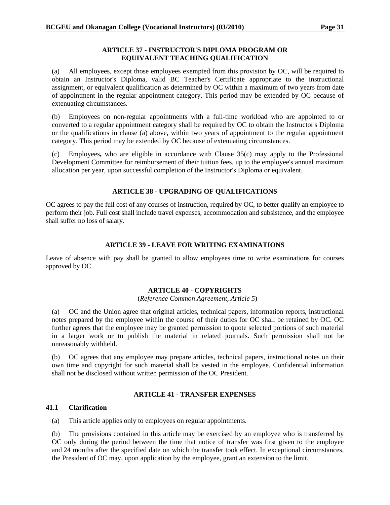# **ARTICLE 37 - INSTRUCTOR'S DIPLOMA PROGRAM OR EQUIVALENT TEACHING QUALIFICATION**

(a) All employees, except those employees exempted from this provision by OC, will be required to obtain an Instructor's Diploma, valid BC Teacher's Certificate appropriate to the instructional assignment, or equivalent qualification as determined by OC within a maximum of two years from date of appointment in the regular appointment category. This period may be extended by OC because of extenuating circumstances.

(b) Employees on non-regular appointments with a full-time workload who are appointed to or converted to a regular appointment category shall be required by OC to obtain the Instructor's Diploma or the qualifications in clause (a) above, within two years of appointment to the regular appointment category. This period may be extended by OC because of extenuating circumstances.

(c) Employees**,** who are eligible in accordance with Clause 35(c) may apply to the Professional Development Committee for reimbursement of their tuition fees, up to the employee's annual maximum allocation per year, upon successful completion of the Instructor's Diploma or equivalent.

# **ARTICLE 38 - UPGRADING OF QUALIFICATIONS**

OC agrees to pay the full cost of any courses of instruction, required by OC, to better qualify an employee to perform their job. Full cost shall include travel expenses, accommodation and subsistence, and the employee shall suffer no loss of salary.

# **ARTICLE 39 - LEAVE FOR WRITING EXAMINATIONS**

Leave of absence with pay shall be granted to allow employees time to write examinations for courses approved by OC.

# **ARTICLE 40 - COPYRIGHTS**

#### (*Reference Common Agreement, Article 5*)

(a) OC and the Union agree that original articles, technical papers, information reports, instructional notes prepared by the employee within the course of their duties for OC shall be retained by OC. OC further agrees that the employee may be granted permission to quote selected portions of such material in a larger work or to publish the material in related journals. Such permission shall not be unreasonably withheld.

(b) OC agrees that any employee may prepare articles, technical papers, instructional notes on their own time and copyright for such material shall be vested in the employee. Confidential information shall not be disclosed without written permission of the OC President.

# **ARTICLE 41 - TRANSFER EXPENSES**

# **41.1 Clarification**

(a) This article applies only to employees on regular appointments.

(b) The provisions contained in this article may be exercised by an employee who is transferred by OC only during the period between the time that notice of transfer was first given to the employee and 24 months after the specified date on which the transfer took effect. In exceptional circumstances, the President of OC may, upon application by the employee, grant an extension to the limit.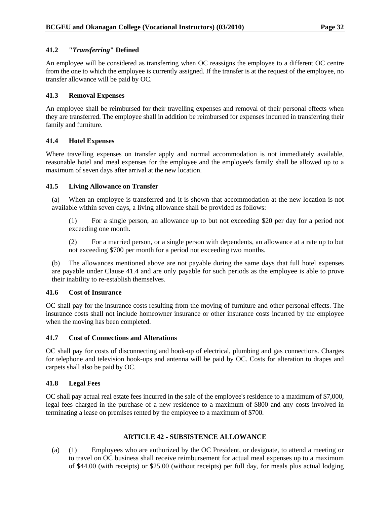# **41.2 "***Transferring***" Defined**

An employee will be considered as transferring when OC reassigns the employee to a different OC centre from the one to which the employee is currently assigned. If the transfer is at the request of the employee, no transfer allowance will be paid by OC.

# **41.3 Removal Expenses**

An employee shall be reimbursed for their travelling expenses and removal of their personal effects when they are transferred. The employee shall in addition be reimbursed for expenses incurred in transferring their family and furniture.

# **41.4 Hotel Expenses**

Where travelling expenses on transfer apply and normal accommodation is not immediately available, reasonable hotel and meal expenses for the employee and the employee's family shall be allowed up to a maximum of seven days after arrival at the new location.

# **41.5 Living Allowance on Transfer**

(a) When an employee is transferred and it is shown that accommodation at the new location is not available within seven days, a living allowance shall be provided as follows:

(1) For a single person, an allowance up to but not exceeding \$20 per day for a period not exceeding one month.

(2) For a married person, or a single person with dependents, an allowance at a rate up to but not exceeding \$700 per month for a period not exceeding two months.

(b) The allowances mentioned above are not payable during the same days that full hotel expenses are payable under Clause 41.4 and are only payable for such periods as the employee is able to prove their inability to re-establish themselves.

# **41.6 Cost of Insurance**

OC shall pay for the insurance costs resulting from the moving of furniture and other personal effects. The insurance costs shall not include homeowner insurance or other insurance costs incurred by the employee when the moving has been completed.

# **41.7 Cost of Connections and Alterations**

OC shall pay for costs of disconnecting and hook-up of electrical, plumbing and gas connections. Charges for telephone and television hook-ups and antenna will be paid by OC. Costs for alteration to drapes and carpets shall also be paid by OC.

# **41.8 Legal Fees**

OC shall pay actual real estate fees incurred in the sale of the employee's residence to a maximum of \$7,000, legal fees charged in the purchase of a new residence to a maximum of \$800 and any costs involved in terminating a lease on premises rented by the employee to a maximum of \$700.

# **ARTICLE 42 - SUBSISTENCE ALLOWANCE**

(a) (1) Employees who are authorized by the OC President, or designate, to attend a meeting or to travel on OC business shall receive reimbursement for actual meal expenses up to a maximum of \$44.00 (with receipts) or \$25.00 (without receipts) per full day, for meals plus actual lodging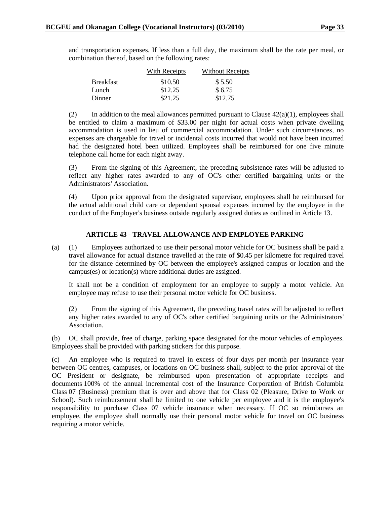and transportation expenses. If less than a full day, the maximum shall be the rate per meal, or combination thereof, based on the following rates:

|                  | With Receipts | <b>Without Receipts</b> |
|------------------|---------------|-------------------------|
| <b>Breakfast</b> | \$10.50       | \$5.50                  |
| Lunch            | \$12.25       | \$6.75                  |
| Dinner           | \$21.25       | \$12.75                 |

(2) In addition to the meal allowances permitted pursuant to Clause  $42(a)(1)$ , employees shall be entitled to claim a maximum of \$33.00 per night for actual costs when private dwelling accommodation is used in lieu of commercial accommodation. Under such circumstances, no expenses are chargeable for travel or incidental costs incurred that would not have been incurred had the designated hotel been utilized. Employees shall be reimbursed for one five minute telephone call home for each night away.

(3) From the signing of this Agreement, the preceding subsistence rates will be adjusted to reflect any higher rates awarded to any of OC's other certified bargaining units or the Administrators' Association.

(4) Upon prior approval from the designated supervisor, employees shall be reimbursed for the actual additional child care or dependant spousal expenses incurred by the employee in the conduct of the Employer's business outside regularly assigned duties as outlined in Article 13.

#### **ARTICLE 43 - TRAVEL ALLOWANCE AND EMPLOYEE PARKING**

(a) (1) Employees authorized to use their personal motor vehicle for OC business shall be paid a travel allowance for actual distance travelled at the rate of \$0.45 per kilometre for required travel for the distance determined by OC between the employee's assigned campus or location and the campus(es) or location(s) where additional duties are assigned.

It shall not be a condition of employment for an employee to supply a motor vehicle. An employee may refuse to use their personal motor vehicle for OC business.

(2) From the signing of this Agreement, the preceding travel rates will be adjusted to reflect any higher rates awarded to any of OC's other certified bargaining units or the Administrators' Association.

(b) OC shall provide, free of charge, parking space designated for the motor vehicles of employees. Employees shall be provided with parking stickers for this purpose.

(c) An employee who is required to travel in excess of four days per month per insurance year between OC centres, campuses, or locations on OC business shall, subject to the prior approval of the OC President or designate, be reimbursed upon presentation of appropriate receipts and documents 100% of the annual incremental cost of the Insurance Corporation of British Columbia Class 07 (Business) premium that is over and above that for Class 02 (Pleasure, Drive to Work or School). Such reimbursement shall be limited to one vehicle per employee and it is the employee's responsibility to purchase Class 07 vehicle insurance when necessary. If OC so reimburses an employee, the employee shall normally use their personal motor vehicle for travel on OC business requiring a motor vehicle.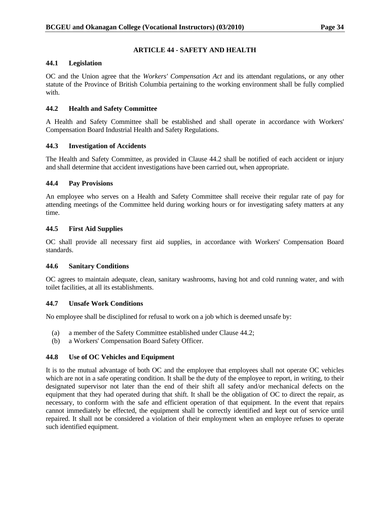# **ARTICLE 44 - SAFETY AND HEALTH**

# **44.1 Legislation**

OC and the Union agree that the *Workers' Compensation Act* and its attendant regulations, or any other statute of the Province of British Columbia pertaining to the working environment shall be fully complied with.

# **44.2 Health and Safety Committee**

A Health and Safety Committee shall be established and shall operate in accordance with Workers' Compensation Board Industrial Health and Safety Regulations.

# **44.3 Investigation of Accidents**

The Health and Safety Committee, as provided in Clause 44.2 shall be notified of each accident or injury and shall determine that accident investigations have been carried out, when appropriate.

# **44.4 Pay Provisions**

An employee who serves on a Health and Safety Committee shall receive their regular rate of pay for attending meetings of the Committee held during working hours or for investigating safety matters at any time.

# **44.5 First Aid Supplies**

OC shall provide all necessary first aid supplies, in accordance with Workers' Compensation Board standards.

# **44.6 Sanitary Conditions**

OC agrees to maintain adequate, clean, sanitary washrooms, having hot and cold running water, and with toilet facilities, at all its establishments.

# **44.7 Unsafe Work Conditions**

No employee shall be disciplined for refusal to work on a job which is deemed unsafe by:

- (a) a member of the Safety Committee established under Clause 44.2;
- (b) a Workers' Compensation Board Safety Officer.

# **44.8 Use of OC Vehicles and Equipment**

It is to the mutual advantage of both OC and the employee that employees shall not operate OC vehicles which are not in a safe operating condition. It shall be the duty of the employee to report, in writing, to their designated supervisor not later than the end of their shift all safety and/or mechanical defects on the equipment that they had operated during that shift. It shall be the obligation of OC to direct the repair, as necessary, to conform with the safe and efficient operation of that equipment. In the event that repairs cannot immediately be effected, the equipment shall be correctly identified and kept out of service until repaired. It shall not be considered a violation of their employment when an employee refuses to operate such identified equipment.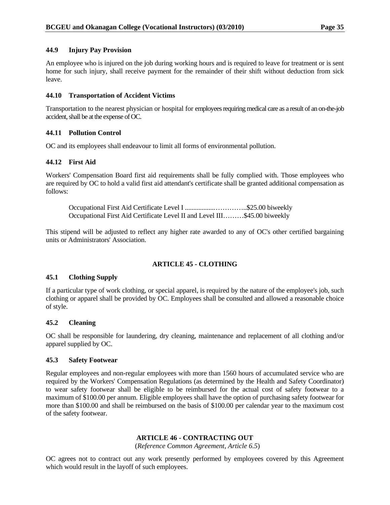An employee who is injured on the job during working hours and is required to leave for treatment or is sent home for such injury, shall receive payment for the remainder of their shift without deduction from sick leave.

# **44.10 Transportation of Accident Victims**

Transportation to the nearest physician or hospital for employees requiring medical care as a result of an on-the-job accident, shall be at the expense of OC.

# **44.11 Pollution Control**

OC and its employees shall endeavour to limit all forms of environmental pollution.

# **44.12 First Aid**

Workers' Compensation Board first aid requirements shall be fully complied with. Those employees who are required by OC to hold a valid first aid attendant's certificate shall be granted additional compensation as follows:

Occupational First Aid Certificate Level I ..................…………..\$25.00 biweekly Occupational First Aid Certificate Level II and Level III………\$45.00 biweekly

This stipend will be adjusted to reflect any higher rate awarded to any of OC's other certified bargaining units or Administrators' Association.

# **ARTICLE 45 - CLOTHING**

# **45.1 Clothing Supply**

If a particular type of work clothing, or special apparel, is required by the nature of the employee's job, such clothing or apparel shall be provided by OC. Employees shall be consulted and allowed a reasonable choice of style.

# **45.2 Cleaning**

OC shall be responsible for laundering, dry cleaning, maintenance and replacement of all clothing and/or apparel supplied by OC.

# **45.3 Safety Footwear**

Regular employees and non-regular employees with more than 1560 hours of accumulated service who are required by the Workers' Compensation Regulations (as determined by the Health and Safety Coordinator) to wear safety footwear shall be eligible to be reimbursed for the actual cost of safety footwear to a maximum of \$100.00 per annum. Eligible employees shall have the option of purchasing safety footwear for more than \$100.00 and shall be reimbursed on the basis of \$100.00 per calendar year to the maximum cost of the safety footwear.

# **ARTICLE 46 - CONTRACTING OUT**

(*Reference Common Agreement, Article 6.5*)

OC agrees not to contract out any work presently performed by employees covered by this Agreement which would result in the layoff of such employees.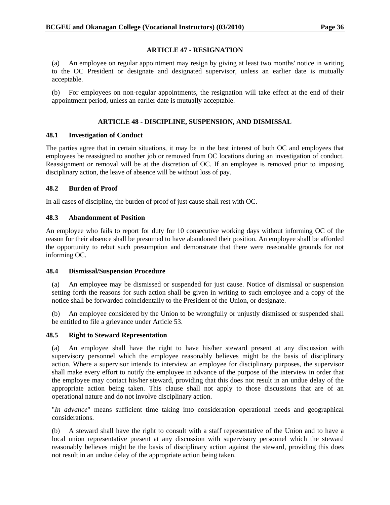# **ARTICLE 47 - RESIGNATION**

(a) An employee on regular appointment may resign by giving at least two months' notice in writing to the OC President or designate and designated supervisor, unless an earlier date is mutually acceptable.

(b) For employees on non-regular appointments, the resignation will take effect at the end of their appointment period, unless an earlier date is mutually acceptable.

# **ARTICLE 48 - DISCIPLINE, SUSPENSION, AND DISMISSAL**

# **48.1 Investigation of Conduct**

The parties agree that in certain situations, it may be in the best interest of both OC and employees that employees be reassigned to another job or removed from OC locations during an investigation of conduct. Reassignment or removal will be at the discretion of OC. If an employee is removed prior to imposing disciplinary action, the leave of absence will be without loss of pay.

# **48.2 Burden of Proof**

In all cases of discipline, the burden of proof of just cause shall rest with OC.

# **48.3 Abandonment of Position**

An employee who fails to report for duty for 10 consecutive working days without informing OC of the reason for their absence shall be presumed to have abandoned their position. An employee shall be afforded the opportunity to rebut such presumption and demonstrate that there were reasonable grounds for not informing OC.

# **48.4 Dismissal/Suspension Procedure**

(a) An employee may be dismissed or suspended for just cause. Notice of dismissal or suspension setting forth the reasons for such action shall be given in writing to such employee and a copy of the notice shall be forwarded coincidentally to the President of the Union, or designate.

(b) An employee considered by the Union to be wrongfully or unjustly dismissed or suspended shall be entitled to file a grievance under Article 53.

# **48.5 Right to Steward Representation**

(a) An employee shall have the right to have his/her steward present at any discussion with supervisory personnel which the employee reasonably believes might be the basis of disciplinary action. Where a supervisor intends to interview an employee for disciplinary purposes, the supervisor shall make every effort to notify the employee in advance of the purpose of the interview in order that the employee may contact his/her steward, providing that this does not result in an undue delay of the appropriate action being taken. This clause shall not apply to those discussions that are of an operational nature and do not involve disciplinary action.

"*In advance*" means sufficient time taking into consideration operational needs and geographical considerations.

(b) A steward shall have the right to consult with a staff representative of the Union and to have a local union representative present at any discussion with supervisory personnel which the steward reasonably believes might be the basis of disciplinary action against the steward, providing this does not result in an undue delay of the appropriate action being taken.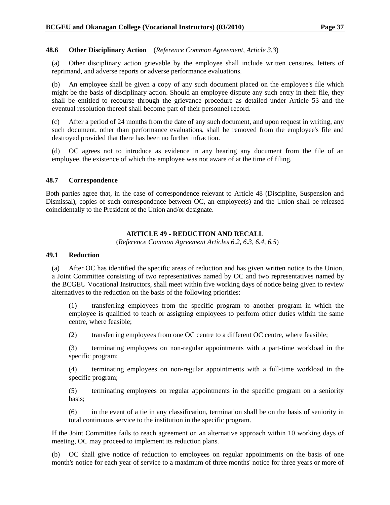#### **48.6 Other Disciplinary Action** (*Reference Common Agreement, Article 3.3*)

(a) Other disciplinary action grievable by the employee shall include written censures, letters of reprimand, and adverse reports or adverse performance evaluations.

(b) An employee shall be given a copy of any such document placed on the employee's file which might be the basis of disciplinary action. Should an employee dispute any such entry in their file, they shall be entitled to recourse through the grievance procedure as detailed under Article 53 and the eventual resolution thereof shall become part of their personnel record.

(c) After a period of 24 months from the date of any such document, and upon request in writing, any such document, other than performance evaluations, shall be removed from the employee's file and destroyed provided that there has been no further infraction.

(d) OC agrees not to introduce as evidence in any hearing any document from the file of an employee, the existence of which the employee was not aware of at the time of filing.

#### **48.7 Correspondence**

Both parties agree that, in the case of correspondence relevant to Article 48 (Discipline, Suspension and Dismissal), copies of such correspondence between OC, an employee(s) and the Union shall be released coincidentally to the President of the Union and/or designate.

#### **ARTICLE 49 - REDUCTION AND RECALL**

(*Reference Common Agreement Articles 6.2, 6.3, 6.4, 6.5*)

#### **49.1 Reduction**

(a) After OC has identified the specific areas of reduction and has given written notice to the Union, a Joint Committee consisting of two representatives named by OC and two representatives named by the BCGEU Vocational Instructors, shall meet within five working days of notice being given to review alternatives to the reduction on the basis of the following priorities:

(1) transferring employees from the specific program to another program in which the employee is qualified to teach or assigning employees to perform other duties within the same centre, where feasible;

(2) transferring employees from one OC centre to a different OC centre, where feasible;

(3) terminating employees on non-regular appointments with a part-time workload in the specific program;

(4) terminating employees on non-regular appointments with a full-time workload in the specific program;

(5) terminating employees on regular appointments in the specific program on a seniority basis;

(6) in the event of a tie in any classification, termination shall be on the basis of seniority in total continuous service to the institution in the specific program.

If the Joint Committee fails to reach agreement on an alternative approach within 10 working days of meeting, OC may proceed to implement its reduction plans.

(b) OC shall give notice of reduction to employees on regular appointments on the basis of one month's notice for each year of service to a maximum of three months' notice for three years or more of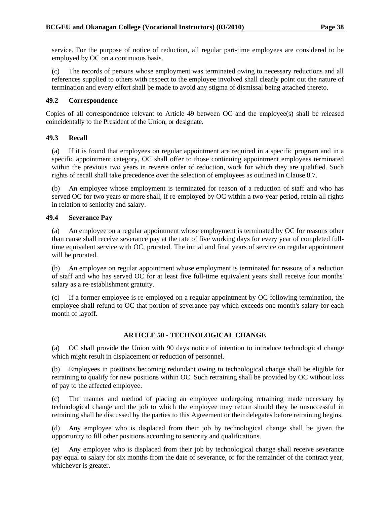service. For the purpose of notice of reduction, all regular part-time employees are considered to be employed by OC on a continuous basis.

(c) The records of persons whose employment was terminated owing to necessary reductions and all references supplied to others with respect to the employee involved shall clearly point out the nature of termination and every effort shall be made to avoid any stigma of dismissal being attached thereto.

# **49.2 Correspondence**

Copies of all correspondence relevant to Article 49 between OC and the employee(s) shall be released coincidentally to the President of the Union, or designate.

# **49.3 Recall**

(a) If it is found that employees on regular appointment are required in a specific program and in a specific appointment category, OC shall offer to those continuing appointment employees terminated within the previous two years in reverse order of reduction, work for which they are qualified. Such rights of recall shall take precedence over the selection of employees as outlined in Clause 8.7.

(b) An employee whose employment is terminated for reason of a reduction of staff and who has served OC for two years or more shall, if re-employed by OC within a two-year period, retain all rights in relation to seniority and salary.

# **49.4 Severance Pay**

(a) An employee on a regular appointment whose employment is terminated by OC for reasons other than cause shall receive severance pay at the rate of five working days for every year of completed fulltime equivalent service with OC, prorated. The initial and final years of service on regular appointment will be prorated.

(b) An employee on regular appointment whose employment is terminated for reasons of a reduction of staff and who has served OC for at least five full-time equivalent years shall receive four months' salary as a re-establishment gratuity.

(c) If a former employee is re-employed on a regular appointment by OC following termination, the employee shall refund to OC that portion of severance pay which exceeds one month's salary for each month of layoff.

# **ARTICLE 50 - TECHNOLOGICAL CHANGE**

(a) OC shall provide the Union with 90 days notice of intention to introduce technological change which might result in displacement or reduction of personnel.

(b) Employees in positions becoming redundant owing to technological change shall be eligible for retraining to qualify for new positions within OC. Such retraining shall be provided by OC without loss of pay to the affected employee.

(c) The manner and method of placing an employee undergoing retraining made necessary by technological change and the job to which the employee may return should they be unsuccessful in retraining shall be discussed by the parties to this Agreement or their delegates before retraining begins.

(d) Any employee who is displaced from their job by technological change shall be given the opportunity to fill other positions according to seniority and qualifications.

(e) Any employee who is displaced from their job by technological change shall receive severance pay equal to salary for six months from the date of severance, or for the remainder of the contract year, whichever is greater.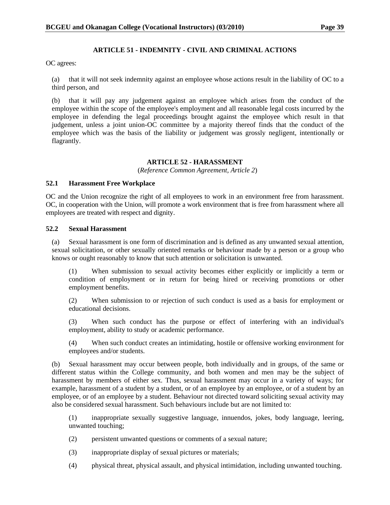# **ARTICLE 51 - INDEMNITY - CIVIL AND CRIMINAL ACTIONS**

OC agrees:

(a) that it will not seek indemnity against an employee whose actions result in the liability of OC to a third person, and

(b) that it will pay any judgement against an employee which arises from the conduct of the employee within the scope of the employee's employment and all reasonable legal costs incurred by the employee in defending the legal proceedings brought against the employee which result in that judgement, unless a joint union-OC committee by a majority thereof finds that the conduct of the employee which was the basis of the liability or judgement was grossly negligent, intentionally or flagrantly.

# **ARTICLE 52 - HARASSMENT**

(*Reference Common Agreement, Article 2*)

# **52.1 Harassment Free Workplace**

OC and the Union recognize the right of all employees to work in an environment free from harassment. OC, in cooperation with the Union, will promote a work environment that is free from harassment where all employees are treated with respect and dignity.

# **52.2 Sexual Harassment**

(a) Sexual harassment is one form of discrimination and is defined as any unwanted sexual attention, sexual solicitation, or other sexually oriented remarks or behaviour made by a person or a group who knows or ought reasonably to know that such attention or solicitation is unwanted.

(1) When submission to sexual activity becomes either explicitly or implicitly a term or condition of employment or in return for being hired or receiving promotions or other employment benefits.

(2) When submission to or rejection of such conduct is used as a basis for employment or educational decisions.

(3) When such conduct has the purpose or effect of interfering with an individual's employment, ability to study or academic performance.

(4) When such conduct creates an intimidating, hostile or offensive working environment for employees and/or students.

(b) Sexual harassment may occur between people, both individually and in groups, of the same or different status within the College community, and both women and men may be the subject of harassment by members of either sex. Thus, sexual harassment may occur in a variety of ways; for example, harassment of a student by a student, or of an employee by an employee, or of a student by an employee, or of an employee by a student. Behaviour not directed toward soliciting sexual activity may also be considered sexual harassment. Such behaviours include but are not limited to:

(1) inappropriate sexually suggestive language, innuendos, jokes, body language, leering, unwanted touching;

- (2) persistent unwanted questions or comments of a sexual nature;
- (3) inappropriate display of sexual pictures or materials;
- (4) physical threat, physical assault, and physical intimidation, including unwanted touching.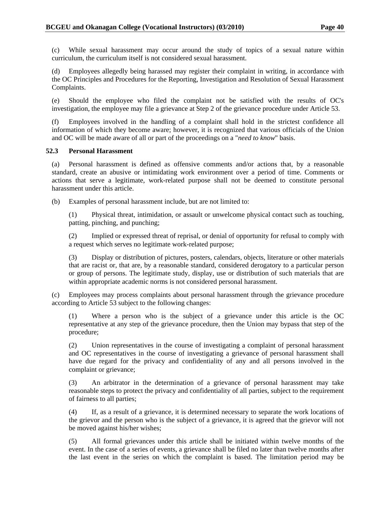(c) While sexual harassment may occur around the study of topics of a sexual nature within curriculum, the curriculum itself is not considered sexual harassment.

(d) Employees allegedly being harassed may register their complaint in writing, in accordance with the OC Principles and Procedures for the Reporting, Investigation and Resolution of Sexual Harassment Complaints.

(e) Should the employee who filed the complaint not be satisfied with the results of OC's investigation, the employee may file a grievance at Step 2 of the grievance procedure under Article 53.

(f) Employees involved in the handling of a complaint shall hold in the strictest confidence all information of which they become aware; however, it is recognized that various officials of the Union and OC will be made aware of all or part of the proceedings on a "*need to know*" basis.

#### **52.3 Personal Harassment**

(a) Personal harassment is defined as offensive comments and/or actions that, by a reasonable standard, create an abusive or intimidating work environment over a period of time. Comments or actions that serve a legitimate, work-related purpose shall not be deemed to constitute personal harassment under this article.

(b) Examples of personal harassment include, but are not limited to:

(1) Physical threat, intimidation, or assault or unwelcome physical contact such as touching, patting, pinching, and punching;

(2) Implied or expressed threat of reprisal, or denial of opportunity for refusal to comply with a request which serves no legitimate work-related purpose;

(3) Display or distribution of pictures, posters, calendars, objects, literature or other materials that are racist or, that are, by a reasonable standard, considered derogatory to a particular person or group of persons. The legitimate study, display, use or distribution of such materials that are within appropriate academic norms is not considered personal harassment.

(c) Employees may process complaints about personal harassment through the grievance procedure according to Article 53 subject to the following changes:

(1) Where a person who is the subject of a grievance under this article is the OC representative at any step of the grievance procedure, then the Union may bypass that step of the procedure;

(2) Union representatives in the course of investigating a complaint of personal harassment and OC representatives in the course of investigating a grievance of personal harassment shall have due regard for the privacy and confidentiality of any and all persons involved in the complaint or grievance;

(3) An arbitrator in the determination of a grievance of personal harassment may take reasonable steps to protect the privacy and confidentiality of all parties, subject to the requirement of fairness to all parties;

(4) If, as a result of a grievance, it is determined necessary to separate the work locations of the grievor and the person who is the subject of a grievance, it is agreed that the grievor will not be moved against his/her wishes;

(5) All formal grievances under this article shall be initiated within twelve months of the event. In the case of a series of events, a grievance shall be filed no later than twelve months after the last event in the series on which the complaint is based. The limitation period may be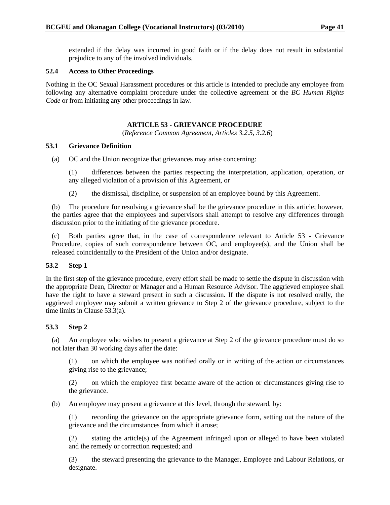extended if the delay was incurred in good faith or if the delay does not result in substantial prejudice to any of the involved individuals.

# **52.4 Access to Other Proceedings**

Nothing in the OC Sexual Harassment procedures or this article is intended to preclude any employee from following any alternative complaint procedure under the collective agreement or the *BC Human Rights Code* or from initiating any other proceedings in law.

# **ARTICLE 53 - GRIEVANCE PROCEDURE**

(*Reference Common Agreement, Articles 3.2.5, 3.2.6*)

#### **53.1 Grievance Definition**

(a) OC and the Union recognize that grievances may arise concerning:

(1) differences between the parties respecting the interpretation, application, operation, or any alleged violation of a provision of this Agreement, or

(2) the dismissal, discipline, or suspension of an employee bound by this Agreement.

(b) The procedure for resolving a grievance shall be the grievance procedure in this article; however, the parties agree that the employees and supervisors shall attempt to resolve any differences through discussion prior to the initiating of the grievance procedure.

(c) Both parties agree that, in the case of correspondence relevant to Article 53 - Grievance Procedure, copies of such correspondence between OC, and employee(s), and the Union shall be released coincidentally to the President of the Union and/or designate.

# **53.2 Step 1**

In the first step of the grievance procedure, every effort shall be made to settle the dispute in discussion with the appropriate Dean, Director or Manager and a Human Resource Advisor. The aggrieved employee shall have the right to have a steward present in such a discussion. If the dispute is not resolved orally, the aggrieved employee may submit a written grievance to Step 2 of the grievance procedure, subject to the time limits in Clause 53.3(a).

# **53.3 Step 2**

(a) An employee who wishes to present a grievance at Step 2 of the grievance procedure must do so not later than 30 working days after the date:

(1) on which the employee was notified orally or in writing of the action or circumstances giving rise to the grievance;

(2) on which the employee first became aware of the action or circumstances giving rise to the grievance.

(b) An employee may present a grievance at this level, through the steward, by:

(1) recording the grievance on the appropriate grievance form, setting out the nature of the grievance and the circumstances from which it arose;

(2) stating the article(s) of the Agreement infringed upon or alleged to have been violated and the remedy or correction requested; and

(3) the steward presenting the grievance to the Manager, Employee and Labour Relations, or designate.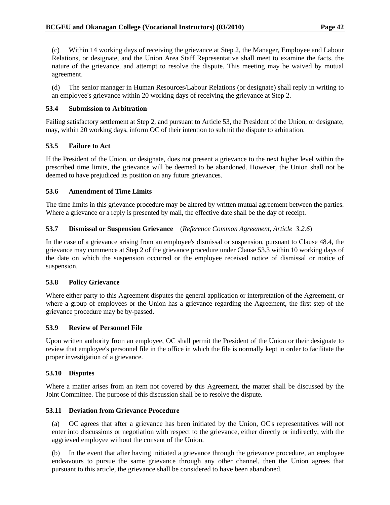(c) Within 14 working days of receiving the grievance at Step 2, the Manager, Employee and Labour Relations, or designate, and the Union Area Staff Representative shall meet to examine the facts, the nature of the grievance, and attempt to resolve the dispute. This meeting may be waived by mutual agreement.

(d) The senior manager in Human Resources/Labour Relations (or designate) shall reply in writing to an employee's grievance within 20 working days of receiving the grievance at Step 2.

# **53.4 Submission to Arbitration**

Failing satisfactory settlement at Step 2, and pursuant to Article 53, the President of the Union, or designate, may, within 20 working days, inform OC of their intention to submit the dispute to arbitration.

# **53.5 Failure to Act**

If the President of the Union, or designate, does not present a grievance to the next higher level within the prescribed time limits, the grievance will be deemed to be abandoned. However, the Union shall not be deemed to have prejudiced its position on any future grievances.

# **53.6 Amendment of Time Limits**

The time limits in this grievance procedure may be altered by written mutual agreement between the parties. Where a grievance or a reply is presented by mail, the effective date shall be the day of receipt.

# **53.7 Dismissal or Suspension Grievance** (*Reference Common Agreement, Article 3.2.6*)

In the case of a grievance arising from an employee's dismissal or suspension, pursuant to Clause 48.4, the grievance may commence at Step 2 of the grievance procedure under Clause 53.3 within 10 working days of the date on which the suspension occurred or the employee received notice of dismissal or notice of suspension.

# **53.8 Policy Grievance**

Where either party to this Agreement disputes the general application or interpretation of the Agreement, or where a group of employees or the Union has a grievance regarding the Agreement, the first step of the grievance procedure may be by-passed.

# **53.9 Review of Personnel File**

Upon written authority from an employee, OC shall permit the President of the Union or their designate to review that employee's personnel file in the office in which the file is normally kept in order to facilitate the proper investigation of a grievance.

# **53.10 Disputes**

Where a matter arises from an item not covered by this Agreement, the matter shall be discussed by the Joint Committee. The purpose of this discussion shall be to resolve the dispute.

# **53.11 Deviation from Grievance Procedure**

(a) OC agrees that after a grievance has been initiated by the Union, OC's representatives will not enter into discussions or negotiation with respect to the grievance, either directly or indirectly, with the aggrieved employee without the consent of the Union.

(b) In the event that after having initiated a grievance through the grievance procedure, an employee endeavours to pursue the same grievance through any other channel, then the Union agrees that pursuant to this article, the grievance shall be considered to have been abandoned.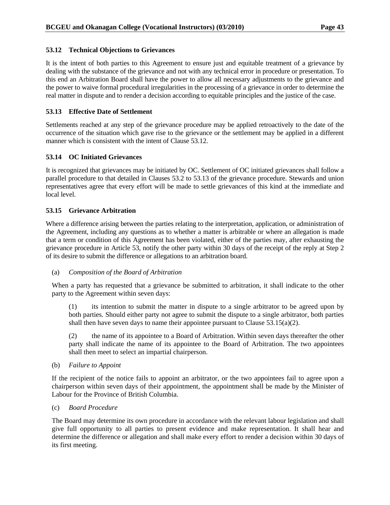# **53.12 Technical Objections to Grievances**

It is the intent of both parties to this Agreement to ensure just and equitable treatment of a grievance by dealing with the substance of the grievance and not with any technical error in procedure or presentation. To this end an Arbitration Board shall have the power to allow all necessary adjustments to the grievance and the power to waive formal procedural irregularities in the processing of a grievance in order to determine the real matter in dispute and to render a decision according to equitable principles and the justice of the case.

# **53.13 Effective Date of Settlement**

Settlements reached at any step of the grievance procedure may be applied retroactively to the date of the occurrence of the situation which gave rise to the grievance or the settlement may be applied in a different manner which is consistent with the intent of Clause 53.12.

# **53.14 OC Initiated Grievances**

It is recognized that grievances may be initiated by OC. Settlement of OC initiated grievances shall follow a parallel procedure to that detailed in Clauses 53.2 to 53.13 of the grievance procedure. Stewards and union representatives agree that every effort will be made to settle grievances of this kind at the immediate and local level.

# **53.15 Grievance Arbitration**

Where a difference arising between the parties relating to the interpretation, application, or administration of the Agreement, including any questions as to whether a matter is arbitrable or where an allegation is made that a term or condition of this Agreement has been violated, either of the parties may, after exhausting the grievance procedure in Article 53, notify the other party within 30 days of the receipt of the reply at Step 2 of its desire to submit the difference or allegations to an arbitration board.

# (a) *Composition of the Board of Arbitration*

When a party has requested that a grievance be submitted to arbitration, it shall indicate to the other party to the Agreement within seven days:

(1) its intention to submit the matter in dispute to a single arbitrator to be agreed upon by both parties. Should either party not agree to submit the dispute to a single arbitrator, both parties shall then have seven days to name their appointee pursuant to Clause  $53.15(a)(2)$ .

(2) the name of its appointee to a Board of Arbitration. Within seven days thereafter the other party shall indicate the name of its appointee to the Board of Arbitration. The two appointees shall then meet to select an impartial chairperson.

# (b) *Failure to Appoint*

If the recipient of the notice fails to appoint an arbitrator, or the two appointees fail to agree upon a chairperson within seven days of their appointment, the appointment shall be made by the Minister of Labour for the Province of British Columbia.

# (c) *Board Procedure*

The Board may determine its own procedure in accordance with the relevant labour legislation and shall give full opportunity to all parties to present evidence and make representation. It shall hear and determine the difference or allegation and shall make every effort to render a decision within 30 days of its first meeting.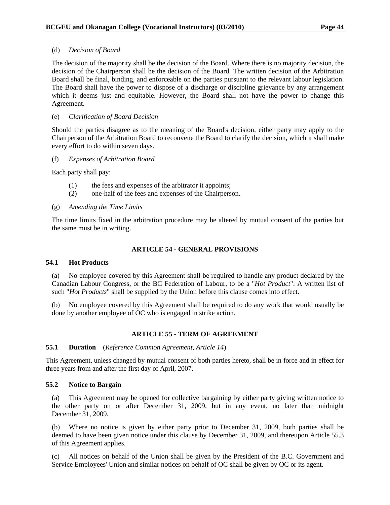#### (d) *Decision of Board*

The decision of the majority shall be the decision of the Board. Where there is no majority decision, the decision of the Chairperson shall be the decision of the Board. The written decision of the Arbitration Board shall be final, binding, and enforceable on the parties pursuant to the relevant labour legislation. The Board shall have the power to dispose of a discharge or discipline grievance by any arrangement which it deems just and equitable. However, the Board shall not have the power to change this Agreement.

#### (e) *Clarification of Board Decision*

Should the parties disagree as to the meaning of the Board's decision, either party may apply to the Chairperson of the Arbitration Board to reconvene the Board to clarify the decision, which it shall make every effort to do within seven days.

#### (f) *Expenses of Arbitration Board*

Each party shall pay:

- (1) the fees and expenses of the arbitrator it appoints;
- (2) one-half of the fees and expenses of the Chairperson.
- (g) *Amending the Time Limits*

The time limits fixed in the arbitration procedure may be altered by mutual consent of the parties but the same must be in writing.

# **ARTICLE 54 - GENERAL PROVISIONS**

#### **54.1 Hot Products**

(a) No employee covered by this Agreement shall be required to handle any product declared by the Canadian Labour Congress, or the BC Federation of Labour, to be a "*Hot Product*". A written list of such "*Hot Products*" shall be supplied by the Union before this clause comes into effect.

(b) No employee covered by this Agreement shall be required to do any work that would usually be done by another employee of OC who is engaged in strike action.

# **ARTICLE 55 - TERM OF AGREEMENT**

#### **55.1 Duration** (*Reference Common Agreement, Article 14*)

This Agreement, unless changed by mutual consent of both parties hereto, shall be in force and in effect for three years from and after the first day of April, 2007.

#### **55.2 Notice to Bargain**

(a) This Agreement may be opened for collective bargaining by either party giving written notice to the other party on or after December 31, 2009, but in any event, no later than midnight December 31, 2009.

(b) Where no notice is given by either party prior to December 31, 2009, both parties shall be deemed to have been given notice under this clause by December 31, 2009, and thereupon Article 55.3 of this Agreement applies.

(c) All notices on behalf of the Union shall be given by the President of the B.C. Government and Service Employees' Union and similar notices on behalf of OC shall be given by OC or its agent.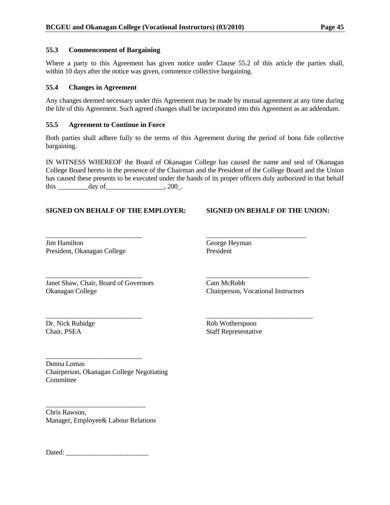# **55.3 Commencement of Bargaining**

Where a party to this Agreement has given notice under Clause 55.2 of this article the parties shall, within 10 days after the notice was given, commence collective bargaining.

#### **55.4 Changes in Agreement**

Any changes deemed necessary under this Agreement may be made by mutual agreement at any time during the life of this Agreement. Such agreed changes shall be incorporated into this Agreement as an addendum.

#### **55.5 Agreement to Continue in Force**

Both parties shall adhere fully to the terms of this Agreement during the period of bona fide collective bargaining.

IN WITNESS WHEREOF the Board of Okanagan College has caused the name and seal of Okanagan College Board hereto in the presence of the Chairman and the President of the College Board and the Union has caused these presents to be executed under the hands of its proper officers duly authorized in that behalf this  $\_\_\_\_\_\_\_\_\_\_\_\_\_\_\_\_\_\_\_\_\.\_200\_\_\_\_\_\_\_\_$ 

\_\_\_\_\_\_\_\_\_\_\_\_\_\_\_\_\_\_\_\_\_\_\_\_\_\_\_\_ \_\_\_\_\_\_\_\_\_\_\_\_\_\_\_\_\_\_\_\_\_\_\_\_\_\_\_\_\_

\_\_\_\_\_\_\_\_\_\_\_\_\_\_\_\_\_\_\_\_\_\_\_\_\_\_\_\_ \_\_\_\_\_\_\_\_\_\_\_\_\_\_\_\_\_\_\_\_\_\_\_\_\_\_\_\_\_\_

\_\_\_\_\_\_\_\_\_\_\_\_\_\_\_\_\_\_\_\_\_\_\_\_\_\_\_\_ \_\_\_\_\_\_\_\_\_\_\_\_\_\_\_\_\_\_\_\_\_\_\_\_\_\_\_\_\_\_\_

# **SIGNED ON BEHALF OF THE EMPLOYER: SIGNED ON BEHALF OF THE UNION:**

Jim Hamilton George Heyman President, Okanagan College President

Janet Shaw, Chair, Board of Governors Cam McRobb Okanagan College Chairperson, Vocational Instructors

Dr. Nick Rubidge Rob Wotherspoon

Chair, PSEA Staff Representative

Donna Lomas Chairperson, Okanagan College Negotiating Committee

\_\_\_\_\_\_\_\_\_\_\_\_\_\_\_\_\_\_\_\_\_\_\_\_\_\_\_\_

Chris Rawson, Manager, Employee& Labour Relations

\_\_\_\_\_\_\_\_\_\_\_\_\_\_\_\_\_\_\_\_\_\_\_\_\_\_\_\_\_

Dated: \_\_\_\_\_\_\_\_\_\_\_\_\_\_\_\_\_\_\_\_\_\_\_\_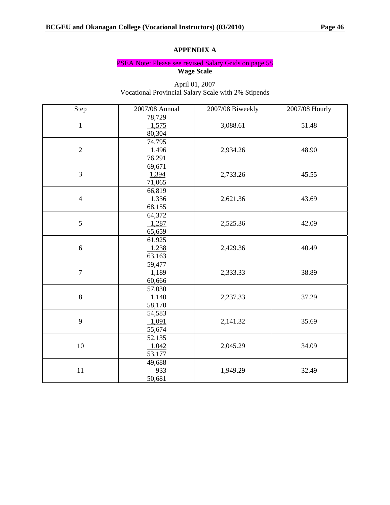# **APPENDIX A**

# PSEA Note: Please see revised Salary Grids on page 58

**Wage Scale** 

| April 01, 2007                                      |  |
|-----------------------------------------------------|--|
| Vocational Provincial Salary Scale with 2% Stipends |  |

| Step           | 2007/08 Annual   | 2007/08 Biweekly | 2007/08 Hourly |
|----------------|------------------|------------------|----------------|
|                | 78,729           |                  |                |
| $\,1\,$        | 1,575            | 3,088.61         | 51.48          |
|                | 80,304           |                  |                |
|                | 74,795           |                  |                |
| $\overline{2}$ | 1,496            | 2,934.26         | 48.90          |
|                | 76,291<br>69,671 |                  |                |
| 3              | 1,394            | 2,733.26         | 45.55          |
|                | 71,065           |                  |                |
|                | 66,819           |                  |                |
| $\overline{4}$ | 1,336            | 2,621.36         | 43.69          |
|                | 68,155           |                  |                |
|                | 64,372           |                  |                |
| 5              | 1,287            | 2,525.36         | 42.09          |
|                | 65,659           |                  |                |
|                | 61,925           |                  |                |
| 6              | 1,238            | 2,429.36         | 40.49          |
|                | 63,163           |                  |                |
|                | 59,477           |                  |                |
| $\overline{7}$ | 1,189            | 2,333.33         | 38.89          |
|                | 60,666           |                  |                |
|                | 57,030           |                  |                |
| 8              | 1,140            | 2,237.33         | 37.29          |
|                | 58,170           |                  |                |
| 9              | 54,583           |                  |                |
|                | 1,091<br>55,674  | 2,141.32         | 35.69          |
|                | 52,135           |                  |                |
| 10             | 1,042            | 2,045.29         | 34.09          |
|                | 53,177           |                  |                |
|                | 49,688           |                  |                |
| 11             | 933              | 1,949.29         | 32.49          |
|                | 50,681           |                  |                |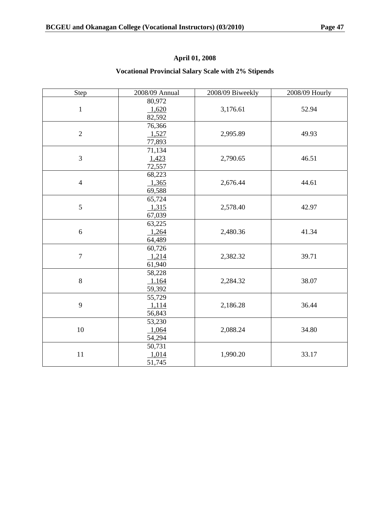# **April 01, 2008**

# **Vocational Provincial Salary Scale with 2% Stipends**

| Step           | 2008/09 Annual            | 2008/09 Biweekly | 2008/09 Hourly |
|----------------|---------------------------|------------------|----------------|
| $\mathbf{1}$   | 80,972<br>1,620<br>82,592 | 3,176.61         | 52.94          |
| $\overline{2}$ | 76,366<br>1,527<br>77,893 | 2,995.89         | 49.93          |
| 3              | 71,134<br>1,423<br>72,557 | 2,790.65         | 46.51          |
| $\overline{4}$ | 68,223<br>1,365<br>69,588 | 2,676.44         | 44.61          |
| 5              | 65,724<br>1,315<br>67,039 | 2,578.40         | 42.97          |
| $\sqrt{6}$     | 63,225<br>1,264<br>64,489 | 2,480.36         | 41.34          |
| $\overline{7}$ | 60,726<br>1,214<br>61,940 | 2,382.32         | 39.71          |
| $8\,$          | 58,228<br>1.164<br>59,392 | 2,284.32         | 38.07          |
| 9              | 55,729<br>1,114<br>56,843 | 2,186.28         | 36.44          |
| 10             | 53,230<br>1,064<br>54,294 | 2,088.24         | 34.80          |
| 11             | 50,731<br>1,014<br>51,745 | 1,990.20         | 33.17          |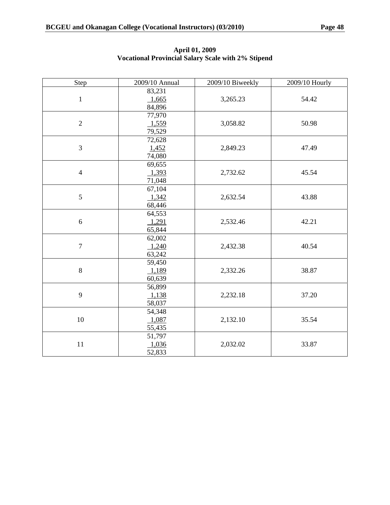| Step           | 2009/10 Annual            | 2009/10 Biweekly | 2009/10 Hourly |
|----------------|---------------------------|------------------|----------------|
| $\mathbf{1}$   | 83,231<br>1,665<br>84,896 | 3,265.23         | 54.42          |
| $\overline{2}$ | 77,970<br>1,559<br>79,529 | 3,058.82         | 50.98          |
| 3              | 72,628<br>1,452<br>74,080 | 2,849.23         | 47.49          |
| $\overline{4}$ | 69,655<br>1,393<br>71,048 | 2,732.62         | 45.54          |
| 5              | 67,104<br>1,342<br>68,446 | 2,632.54         | 43.88          |
| $\sqrt{6}$     | 64,553<br>1,291<br>65,844 | 2,532.46         | 42.21          |
| $\overline{7}$ | 62,002<br>1,240<br>63,242 | 2,432.38         | 40.54          |
| 8              | 59,450<br>1,189<br>60,639 | 2,332.26         | 38.87          |
| 9              | 56,899<br>1,138<br>58,037 | 2,232.18         | 37.20          |
| 10             | 54,348<br>1,087<br>55,435 | 2,132.10         | 35.54          |
| 11             | 51,797<br>1,036<br>52,833 | 2,032.02         | 33.87          |

**April 01, 2009 Vocational Provincial Salary Scale with 2% Stipend**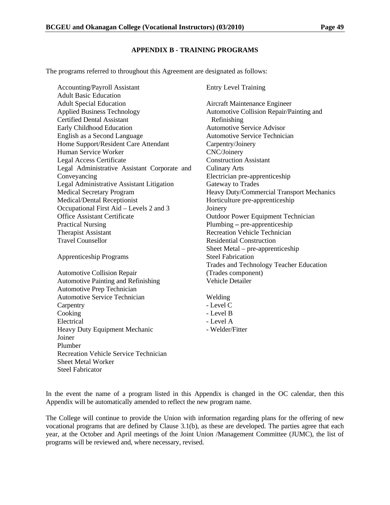#### **APPENDIX B - TRAINING PROGRAMS**

The programs referred to throughout this Agreement are designated as follows:

 Accounting/Payroll Assistant Adult Basic Education Adult Special Education Applied Business Technology Certified Dental Assistant Early Childhood Education English as a Second Language Home Support/Resident Care Attendant Human Service Worker Legal Access Certificate Legal Administrative Assistant Corporate and Conveyancing Legal Administrative Assistant Litigation Medical Secretary Program Medical/Dental Receptionist Occupational First Aid – Levels 2 and 3 Office Assistant Certificate Practical Nursing Therapist Assistant Travel Counsellor

Apprenticeship Programs

 Automotive Collision Repair Automotive Painting and Refinishing Automotive Prep Technician Automotive Service Technician **Carpentry**  Cooking Electrical Heavy Duty Equipment Mechanic Joiner Plumber Recreation Vehicle Service Technician Sheet Metal Worker Steel Fabricator

Entry Level Training

Aircraft Maintenance Engineer Automotive Collision Repair/Painting and Refinishing Automotive Service Advisor Automotive Service Technician Carpentry/Joinery CNC/Joinery Construction Assistant Culinary Arts Electrician pre-apprenticeship Gateway to Trades Heavy Duty/Commercial Transport Mechanics Horticulture pre-apprenticeship **Joinery** Outdoor Power Equipment Technician Plumbing **–** pre-apprenticeship Recreation Vehicle Technician Residential Construction Sheet Metal – pre-apprenticeship Steel Fabrication Trades and Technology Teacher Education (Trades component) Vehicle Detailer

Welding

- Level C
- Level B
- Level A
- Welder/Fitter

In the event the name of a program listed in this Appendix is changed in the OC calendar, then this Appendix will be automatically amended to reflect the new program name.

The College will continue to provide the Union with information regarding plans for the offering of new vocational programs that are defined by Clause 3.1(b), as these are developed. The parties agree that each year, at the October and April meetings of the Joint Union /Management Committee (JUMC), the list of programs will be reviewed and, where necessary, revised.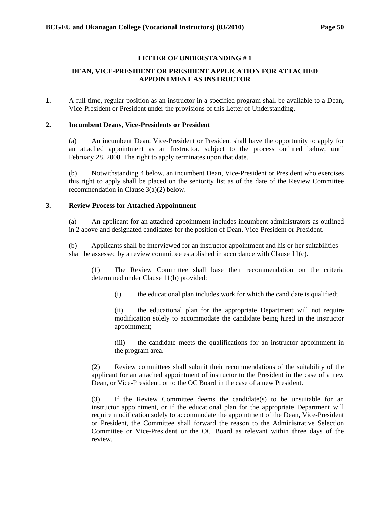# **DEAN, VICE-PRESIDENT OR PRESIDENT APPLICATION FOR ATTACHED APPOINTMENT AS INSTRUCTOR**

**1.** A full-time, regular position as an instructor in a specified program shall be available to a Dean**,**  Vice-President or President under the provisions of this Letter of Understanding.

#### **2. Incumbent Deans, Vice-Presidents or President**

(a) An incumbent Dean, Vice-President or President shall have the opportunity to apply for an attached appointment as an Instructor, subject to the process outlined below, until February 28, 2008. The right to apply terminates upon that date.

(b) Notwithstanding 4 below, an incumbent Dean, Vice-President or President who exercises this right to apply shall be placed on the seniority list as of the date of the Review Committee recommendation in Clause  $3(a)(2)$  below.

#### **3. Review Process for Attached Appointment**

(a) An applicant for an attached appointment includes incumbent administrators as outlined in 2 above and designated candidates for the position of Dean, Vice-President or President.

(b) Applicants shall be interviewed for an instructor appointment and his or her suitabilities shall be assessed by a review committee established in accordance with Clause 11(c).

(1) The Review Committee shall base their recommendation on the criteria determined under Clause 11(b) provided:

(i) the educational plan includes work for which the candidate is qualified;

(ii) the educational plan for the appropriate Department will not require modification solely to accommodate the candidate being hired in the instructor appointment;

(iii) the candidate meets the qualifications for an instructor appointment in the program area.

(2) Review committees shall submit their recommendations of the suitability of the applicant for an attached appointment of instructor to the President in the case of a new Dean, or Vice-President, or to the OC Board in the case of a new President.

(3) If the Review Committee deems the candidate(s) to be unsuitable for an instructor appointment, or if the educational plan for the appropriate Department will require modification solely to accommodate the appointment of the Dean**,** Vice-President or President, the Committee shall forward the reason to the Administrative Selection Committee or Vice-President or the OC Board as relevant within three days of the review.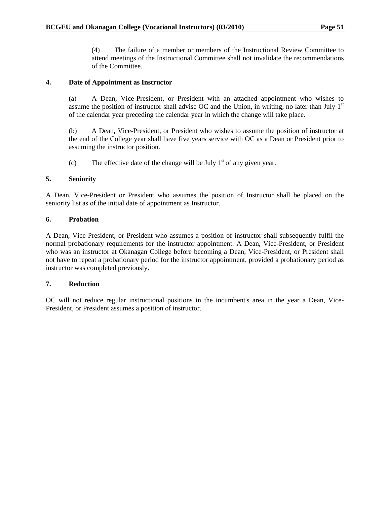(4) The failure of a member or members of the Instructional Review Committee to attend meetings of the Instructional Committee shall not invalidate the recommendations of the Committee.

# **4. Date of Appointment as Instructor**

(a) A Dean, Vice-President, or President with an attached appointment who wishes to assume the position of instructor shall advise OC and the Union, in writing, no later than July  $1<sup>st</sup>$ of the calendar year preceding the calendar year in which the change will take place.

(b) A Dean**,** Vice-President, or President who wishes to assume the position of instructor at the end of the College year shall have five years service with OC as a Dean or President prior to assuming the instructor position.

(c) The effective date of the change will be July  $1<sup>st</sup>$  of any given year.

# **5. Seniority**

A Dean, Vice-President or President who assumes the position of Instructor shall be placed on the seniority list as of the initial date of appointment as Instructor.

# **6. Probation**

A Dean, Vice-President, or President who assumes a position of instructor shall subsequently fulfil the normal probationary requirements for the instructor appointment. A Dean, Vice-President, or President who was an instructor at Okanagan College before becoming a Dean, Vice-President, or President shall not have to repeat a probationary period for the instructor appointment, provided a probationary period as instructor was completed previously.

# **7. Reduction**

OC will not reduce regular instructional positions in the incumbent's area in the year a Dean, Vice-President, or President assumes a position of instructor.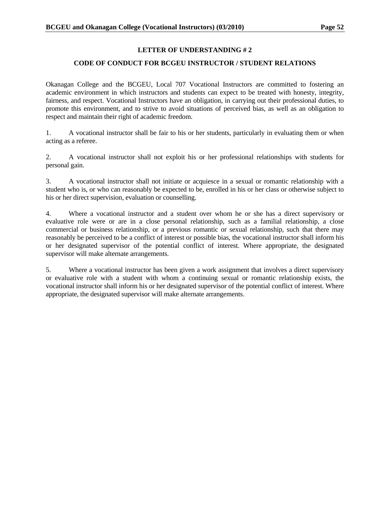# **CODE OF CONDUCT FOR BCGEU INSTRUCTOR / STUDENT RELATIONS**

Okanagan College and the BCGEU, Local 707 Vocational Instructors are committed to fostering an academic environment in which instructors and students can expect to be treated with honesty, integrity, fairness, and respect. Vocational Instructors have an obligation, in carrying out their professional duties, to promote this environment, and to strive to avoid situations of perceived bias, as well as an obligation to respect and maintain their right of academic freedom.

1. A vocational instructor shall be fair to his or her students, particularly in evaluating them or when acting as a referee.

2. A vocational instructor shall not exploit his or her professional relationships with students for personal gain.

3. A vocational instructor shall not initiate or acquiesce in a sexual or romantic relationship with a student who is, or who can reasonably be expected to be, enrolled in his or her class or otherwise subject to his or her direct supervision, evaluation or counselling.

4. Where a vocational instructor and a student over whom he or she has a direct supervisory or evaluative role were or are in a close personal relationship, such as a familial relationship, a close commercial or business relationship, or a previous romantic or sexual relationship, such that there may reasonably be perceived to be a conflict of interest or possible bias, the vocational instructor shall inform his or her designated supervisor of the potential conflict of interest. Where appropriate, the designated supervisor will make alternate arrangements.

5. Where a vocational instructor has been given a work assignment that involves a direct supervisory or evaluative role with a student with whom a continuing sexual or romantic relationship exists, the vocational instructor shall inform his or her designated supervisor of the potential conflict of interest. Where appropriate, the designated supervisor will make alternate arrangements.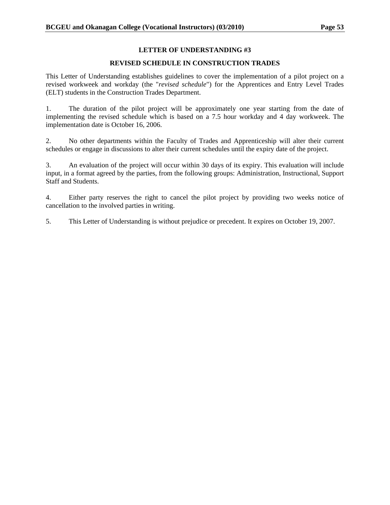#### **REVISED SCHEDULE IN CONSTRUCTION TRADES**

This Letter of Understanding establishes guidelines to cover the implementation of a pilot project on a revised workweek and workday (the "*revised schedule*") for the Apprentices and Entry Level Trades (ELT) students in the Construction Trades Department.

1. The duration of the pilot project will be approximately one year starting from the date of implementing the revised schedule which is based on a 7.5 hour workday and 4 day workweek. The implementation date is October 16, 2006.

2. No other departments within the Faculty of Trades and Apprenticeship will alter their current schedules or engage in discussions to alter their current schedules until the expiry date of the project.

3. An evaluation of the project will occur within 30 days of its expiry. This evaluation will include input, in a format agreed by the parties, from the following groups: Administration, Instructional, Support Staff and Students.

4. Either party reserves the right to cancel the pilot project by providing two weeks notice of cancellation to the involved parties in writing.

5. This Letter of Understanding is without prejudice or precedent. It expires on October 19, 2007.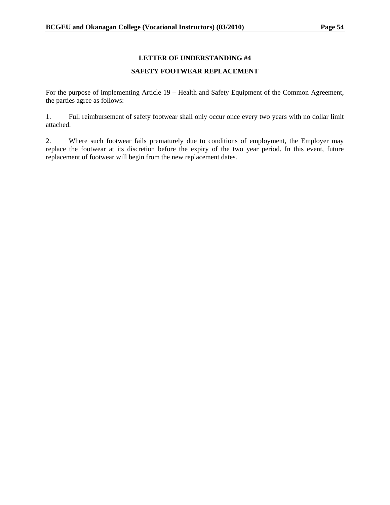# **SAFETY FOOTWEAR REPLACEMENT**

For the purpose of implementing Article 19 – Health and Safety Equipment of the Common Agreement, the parties agree as follows:

1. Full reimbursement of safety footwear shall only occur once every two years with no dollar limit attached.

2. Where such footwear fails prematurely due to conditions of employment, the Employer may replace the footwear at its discretion before the expiry of the two year period. In this event, future replacement of footwear will begin from the new replacement dates.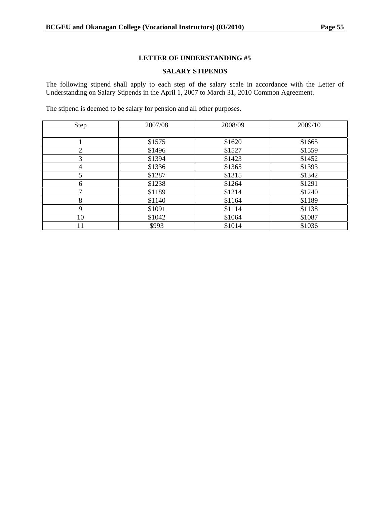# **SALARY STIPENDS**

The following stipend shall apply to each step of the salary scale in accordance with the Letter of Understanding on Salary Stipends in the April 1, 2007 to March 31, 2010 Common Agreement.

The stipend is deemed to be salary for pension and all other purposes.

| Step           | 2007/08 | 2008/09 | 2009/10 |
|----------------|---------|---------|---------|
|                |         |         |         |
|                | \$1575  | \$1620  | \$1665  |
| $\overline{2}$ | \$1496  | \$1527  | \$1559  |
| 3              | \$1394  | \$1423  | \$1452  |
| $\overline{4}$ | \$1336  | \$1365  | \$1393  |
| 5              | \$1287  | \$1315  | \$1342  |
| 6              | \$1238  | \$1264  | \$1291  |
| 7              | \$1189  | \$1214  | \$1240  |
| 8              | \$1140  | \$1164  | \$1189  |
| 9              | \$1091  | \$1114  | \$1138  |
| 10             | \$1042  | \$1064  | \$1087  |
| 11             | \$993   | \$1014  | \$1036  |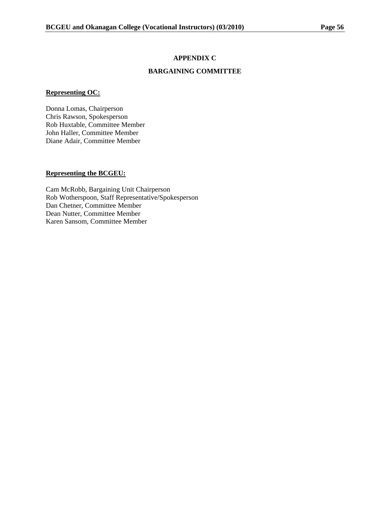# **APPENDIX C**

#### **BARGAINING COMMITTEE**

#### **Representing OC:**

Donna Lomas, Chairperson Chris Rawson, Spokesperson Rob Huxtable, Committee Member John Haller, Committee Member Diane Adair, Committee Member

#### **Representing the BCGEU:**

Cam McRobb, Bargaining Unit Chairperson Rob Wotherspoon, Staff Representative/Spokesperson Dan Chetner, Committee Member Dean Nutter, Committee Member Karen Sansom, Committee Member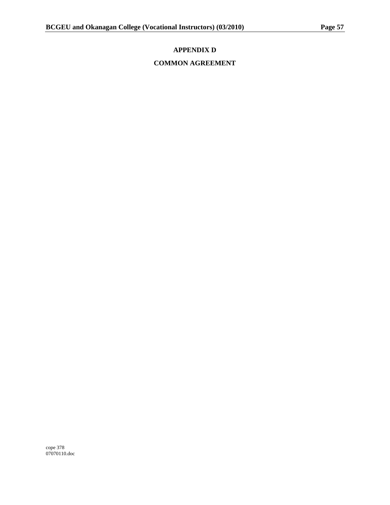# **APPENDIX D**

# **COMMON AGREEMENT**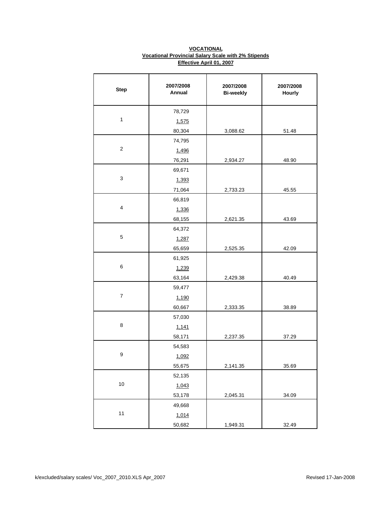| <b>Step</b>               | 2007/2008<br>Annual | 2007/2008<br><b>Bi-weekly</b> | 2007/2008<br>Hourly |
|---------------------------|---------------------|-------------------------------|---------------------|
|                           | 78,729              |                               |                     |
| $\mathbf{1}$              | 1,575               |                               |                     |
|                           | 80,304              | 3,088.62                      | 51.48               |
|                           | 74,795              |                               |                     |
| $\overline{2}$            | 1,496               |                               |                     |
|                           | 76,291              | 2,934.27                      | 48.90               |
|                           | 69,671              |                               |                     |
| $\ensuremath{\mathsf{3}}$ | 1,393               |                               |                     |
|                           | 71,064              | 2,733.23                      | 45.55               |
|                           | 66,819              |                               |                     |
| $\overline{\mathbf{4}}$   | 1,336               |                               |                     |
|                           | 68,155              | 2,621.35                      | 43.69               |
| $\mathbf 5$               | 64,372              |                               |                     |
|                           | 1,287               |                               |                     |
|                           | 65,659              | 2,525.35                      | 42.09               |
| 6                         | 61,925              |                               |                     |
|                           | 1,239               |                               |                     |
|                           | 63,164              | 2,429.38                      | 40.49               |
|                           | 59,477              |                               |                     |
| $\boldsymbol{7}$          | 1,190               |                               |                     |
|                           | 60,667              | 2,333.35                      | 38.89               |
|                           | 57,030              |                               |                     |
| 8                         | 1,141               |                               |                     |
|                           | 58,171              | 2,237.35                      | 37.29               |
|                           | 54,583              |                               |                     |
| 9                         | 1,092               |                               |                     |
|                           | 55,675              | 2,141.35                      | 35.69               |
|                           | 52,135              |                               |                     |
| $10$                      | 1,043               |                               |                     |
|                           | 53,178              | 2,045.31                      | 34.09               |
|                           | 49,668              |                               |                     |
| 11                        | 1,014               |                               |                     |
|                           | 50,682              | 1,949.31                      | 32.49               |

#### **VOCATIONAL Vocational Provincial Salary Scale with 2% Stipends Effective April 01, 2007**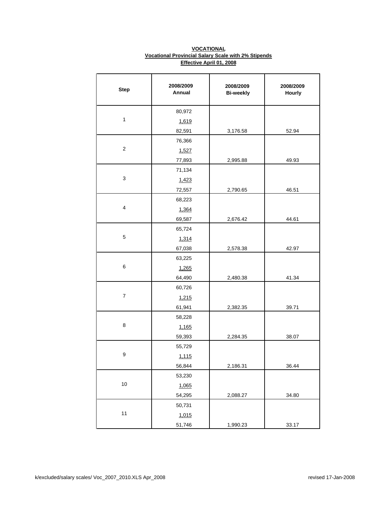<span id="page-66-0"></span>

| <b>Step</b>             | 2008/2009<br>Annual | 2008/2009<br><b>Bi-weekly</b> | 2008/2009<br>Hourly |
|-------------------------|---------------------|-------------------------------|---------------------|
|                         | 80,972              |                               |                     |
| 1                       | 1,619               |                               |                     |
|                         | 82,591              | 3,176.58                      | 52.94               |
|                         | 76,366              |                               |                     |
| $\overline{2}$          | 1,527               |                               |                     |
|                         | 77,893              | 2,995.88                      | 49.93               |
|                         | 71,134              |                               |                     |
| $\mathsf 3$             | 1,423               |                               |                     |
|                         | 72,557              | 2,790.65                      | 46.51               |
|                         | 68,223              |                               |                     |
| $\overline{\mathbf{4}}$ | 1,364               |                               |                     |
|                         | 69,587              | 2,676.42                      | 44.61               |
|                         | 65,724              |                               |                     |
| 5                       | 1,314               |                               |                     |
|                         | 67,038              | 2,578.38                      | 42.97               |
| $\,6$                   | 63,225              |                               |                     |
|                         | 1,265               |                               |                     |
|                         | 64,490              | 2,480.38                      | 41.34               |
|                         | 60,726              |                               |                     |
| $\boldsymbol{7}$        | 1,215               |                               |                     |
|                         | 61,941              | 2,382.35                      | 39.71               |
|                         | 58,228              |                               |                     |
| 8                       | 1,165               |                               |                     |
|                         | 59,393              | 2,284.35                      | 38.07               |
| 9                       | 55,729              |                               |                     |
|                         | 1,115               |                               |                     |
|                         | 56,844              | 2,186.31                      | 36.44               |
|                         | 53,230              |                               |                     |
| 10                      | 1,065               |                               |                     |
|                         | 54,295              | 2,088.27                      | 34.80               |
|                         | 50,731              |                               |                     |
| 11                      | 1,015               |                               |                     |
|                         | 51,746              | 1,990.23                      | 33.17               |

#### **VOCATIONAL Vocational Provincial Salary Scale with 2% Stipends Effective April 01, 2008**